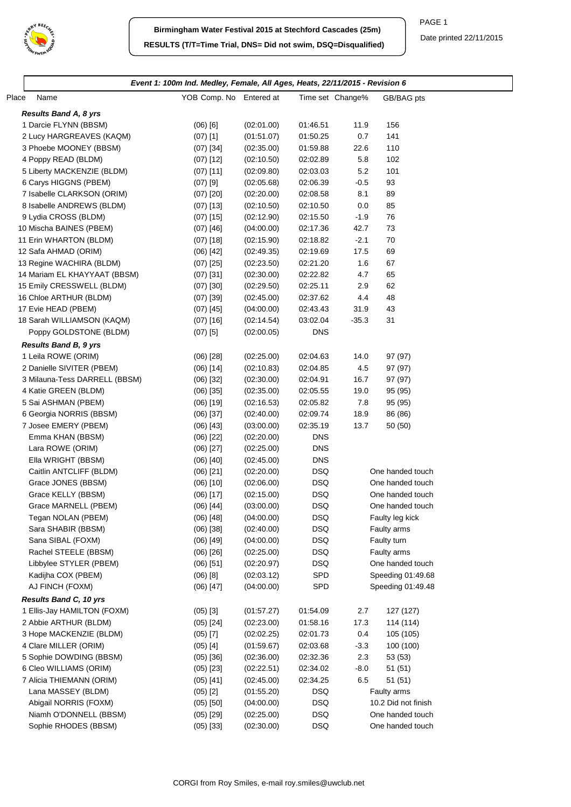

|                               | Event 1: 100m Ind. Medley, Female, All Ages, Heats, 22/11/2015 - Revision 6 |            |                  |         |                     |
|-------------------------------|-----------------------------------------------------------------------------|------------|------------------|---------|---------------------|
| Place<br>Name                 | YOB Comp. No Entered at                                                     |            | Time set Change% |         | GB/BAG pts          |
| <b>Results Band A, 8 yrs</b>  |                                                                             |            |                  |         |                     |
| 1 Darcie FLYNN (BBSM)         | $(06)$ [6]                                                                  | (02:01.00) | 01:46.51         | 11.9    | 156                 |
| 2 Lucy HARGREAVES (KAQM)      | $(07)$ [1]                                                                  | (01:51.07) | 01:50.25         | 0.7     | 141                 |
| 3 Phoebe MOONEY (BBSM)        | $(07)$ [34]                                                                 | (02:35.00) | 01:59.88         | 22.6    | 110                 |
| 4 Poppy READ (BLDM)           | $(07)$ [12]                                                                 | (02:10.50) | 02:02.89         | 5.8     | 102                 |
| 5 Liberty MACKENZIE (BLDM)    | $(07)$ [11]                                                                 | (02:09.80) | 02:03.03         | 5.2     | 101                 |
| 6 Carys HIGGNS (PBEM)         | $(07)$ [9]                                                                  | (02:05.68) | 02:06.39         | $-0.5$  | 93                  |
| 7 Isabelle CLARKSON (ORIM)    | $(07)$ [20]                                                                 | (02:20.00) | 02:08.58         | 8.1     | 89                  |
| 8 Isabelle ANDREWS (BLDM)     | $(07)$ [13]                                                                 | (02:10.50) | 02:10.50         | 0.0     | 85                  |
| 9 Lydia CROSS (BLDM)          | $(07)$ [15]                                                                 | (02:12.90) | 02:15.50         | $-1.9$  | 76                  |
| 10 Mischa BAINES (PBEM)       | $(07)$ [46]                                                                 | (04:00.00) | 02:17.36         | 42.7    | 73                  |
| 11 Erin WHARTON (BLDM)        | $(07)$ [18]                                                                 | (02:15.90) | 02:18.82         | $-2.1$  | 70                  |
| 12 Safa AHMAD (ORIM)          | $(06)$ [42]                                                                 | (02:49.35) | 02:19.69         | 17.5    | 69                  |
| 13 Regine WACHIRA (BLDM)      | $(07)$ [25]                                                                 | (02:23.50) | 02:21.20         | 1.6     | 67                  |
| 14 Mariam EL KHAYYAAT (BBSM)  | $(07)$ [31]                                                                 | (02:30.00) | 02:22.82         | 4.7     | 65                  |
| 15 Emily CRESSWELL (BLDM)     | $(07)$ [30]                                                                 | (02:29.50) | 02:25.11         | 2.9     | 62                  |
| 16 Chloe ARTHUR (BLDM)        | $(07)$ [39]                                                                 | (02:45.00) | 02:37.62         | 4.4     | 48                  |
| 17 Evie HEAD (PBEM)           | $(07)$ [45]                                                                 | (04:00.00) | 02:43.43         | 31.9    | 43                  |
| 18 Sarah WILLIAMSON (KAQM)    | $(07)$ [16]                                                                 | (02:14.54) | 03:02.04         | $-35.3$ | 31                  |
| Poppy GOLDSTONE (BLDM)        | $(07)$ [5]                                                                  | (02:00.05) | <b>DNS</b>       |         |                     |
|                               |                                                                             |            |                  |         |                     |
| <b>Results Band B, 9 yrs</b>  |                                                                             |            |                  |         |                     |
| 1 Leila ROWE (ORIM)           | $(06)$ [28]                                                                 | (02:25.00) | 02:04.63         | 14.0    | 97 (97)             |
| 2 Danielle SIVITER (PBEM)     | $(06)$ [14]                                                                 | (02:10.83) | 02:04.85         | 4.5     | 97 (97)             |
| 3 Milauna-Tess DARRELL (BBSM) | $(06)$ [32]                                                                 | (02:30.00) | 02:04.91         | 16.7    | 97 (97)             |
| 4 Katie GREEN (BLDM)          | $(06)$ [35]                                                                 | (02:35.00) | 02:05.55         | 19.0    | 95 (95)             |
| 5 Sai ASHMAN (PBEM)           | $(06)$ [19]                                                                 | (02:16.53) | 02:05.82         | 7.8     | 95 (95)             |
| 6 Georgia NORRIS (BBSM)       | $(06)$ [37]                                                                 | (02:40.00) | 02:09.74         | 18.9    | 86 (86)             |
| 7 Josee EMERY (PBEM)          | $(06)$ [43]                                                                 | (03:00.00) | 02:35.19         | 13.7    | 50 (50)             |
| Emma KHAN (BBSM)              | $(06)$ [22]                                                                 | (02:20.00) | <b>DNS</b>       |         |                     |
| Lara ROWE (ORIM)              | $(06)$ [27]                                                                 | (02:25.00) | <b>DNS</b>       |         |                     |
| Ella WRIGHT (BBSM)            | $(06)$ [40]                                                                 | (02:45.00) | <b>DNS</b>       |         |                     |
| Caitlin ANTCLIFF (BLDM)       | $(06)$ [21]                                                                 | (02:20.00) | <b>DSQ</b>       |         | One handed touch    |
| Grace JONES (BBSM)            | $(06)$ [10]                                                                 | (02:06.00) | <b>DSQ</b>       |         | One handed touch    |
| Grace KELLY (BBSM)            | $(06)$ [17]                                                                 | (02:15.00) | <b>DSQ</b>       |         | One handed touch    |
| Grace MARNELL (PBEM)          | $(06)$ [44]                                                                 | (03:00.00) | <b>DSQ</b>       |         | One handed touch    |
| Tegan NOLAN (PBEM)            | $(06)$ [48]                                                                 | (04:00.00) | <b>DSQ</b>       |         | Faulty leg kick     |
| Sara SHABIR (BBSM)            | $(06)$ [38]                                                                 | (02:40.00) | <b>DSQ</b>       |         | Faulty arms         |
| Sana SIBAL (FOXM)             | $(06)$ [49]                                                                 | (04:00.00) | <b>DSQ</b>       |         | Faulty turn         |
| Rachel STEELE (BBSM)          | $(06)$ [26]                                                                 | (02:25.00) | <b>DSQ</b>       |         | Faulty arms         |
| Libbylee STYLER (PBEM)        | $(06)$ [51]                                                                 | (02:20.97) | <b>DSQ</b>       |         | One handed touch    |
| Kadijha COX (PBEM)            | $(06)$ [8]                                                                  | (02:03.12) | SPD              |         | Speeding 01:49.68   |
| AJ FINCH (FOXM)               | $(06)$ [47]                                                                 | (04:00.00) | SPD              |         | Speeding 01:49.48   |
| Results Band C, 10 yrs        |                                                                             |            |                  |         |                     |
| 1 Ellis-Jay HAMILTON (FOXM)   | $(05)$ [3]                                                                  | (01:57.27) | 01:54.09         | 2.7     | 127 (127)           |
| 2 Abbie ARTHUR (BLDM)         | $(05)$ [24]                                                                 | (02:23.00) | 01:58.16         | 17.3    | 114 (114)           |
| 3 Hope MACKENZIE (BLDM)       | $(05)$ [7]                                                                  | (02:02.25) | 02:01.73         | 0.4     | 105 (105)           |
| 4 Clare MILLER (ORIM)         | $(05)$ [4]                                                                  | (01:59.67) | 02:03.68         | $-3.3$  | 100 (100)           |
| 5 Sophie DOWDING (BBSM)       | $(05)$ [36]                                                                 | (02:36.00) | 02:32.36         | 2.3     | 53 (53)             |
| 6 Cleo WILLIAMS (ORIM)        | $(05)$ [23]                                                                 | (02:22.51) | 02:34.02         | $-8.0$  | 51(51)              |
| 7 Alicia THIEMANN (ORIM)      | $(05)$ [41]                                                                 | (02:45.00) | 02:34.25         | 6.5     | 51 (51)             |
| Lana MASSEY (BLDM)            | $(05)$ [2]                                                                  | (01:55.20) | <b>DSQ</b>       |         | Faulty arms         |
| Abigail NORRIS (FOXM)         | $(05)$ [50]                                                                 | (04:00.00) | <b>DSQ</b>       |         | 10.2 Did not finish |
| Niamh O'DONNELL (BBSM)        | $(05)$ [29]                                                                 | (02:25.00) | <b>DSQ</b>       |         | One handed touch    |
| Sophie RHODES (BBSM)          | $(05)$ [33]                                                                 | (02:30.00) | <b>DSQ</b>       |         | One handed touch    |
|                               |                                                                             |            |                  |         |                     |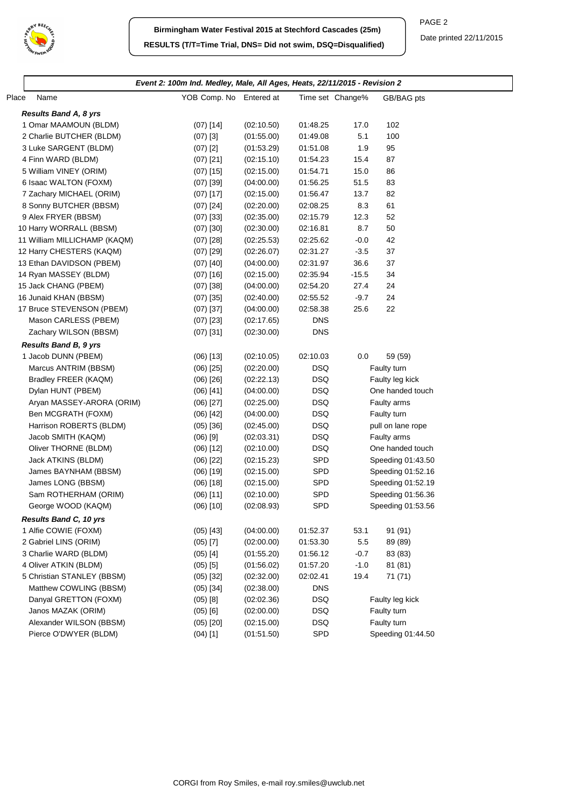

| Place<br>Name                | YOB Comp. No Entered at |            |            | Time set Change% | GB/BAG pts        |
|------------------------------|-------------------------|------------|------------|------------------|-------------------|
| <b>Results Band A, 8 yrs</b> |                         |            |            |                  |                   |
| 1 Omar MAAMOUN (BLDM)        | $(07)$ [14]             | (02:10.50) | 01:48.25   | 17.0             | 102               |
| 2 Charlie BUTCHER (BLDM)     | $(07)$ [3]              | (01:55.00) | 01:49.08   | 5.1              | 100               |
| 3 Luke SARGENT (BLDM)        | $(07)$ [2]              | (01:53.29) | 01:51.08   | 1.9              | 95                |
| 4 Finn WARD (BLDM)           | $(07)$ [21]             | (02:15.10) | 01:54.23   | 15.4             | 87                |
| 5 William VINEY (ORIM)       | $(07)$ [15]             | (02:15.00) | 01:54.71   | 15.0             | 86                |
| 6 Isaac WALTON (FOXM)        | $(07)$ [39]             | (04:00.00) | 01:56.25   | 51.5             | 83                |
| 7 Zachary MICHAEL (ORIM)     | $(07)$ [17]             | (02:15.00) | 01:56.47   | 13.7             | 82                |
| 8 Sonny BUTCHER (BBSM)       | $(07)$ [24]             | (02:20.00) | 02:08.25   | 8.3              | 61                |
| 9 Alex FRYER (BBSM)          | $(07)$ [33]             | (02:35.00) | 02:15.79   | 12.3             | 52                |
| 10 Harry WORRALL (BBSM)      | $(07)$ [30]             | (02:30.00) | 02:16.81   | 8.7              | 50                |
| 11 William MILLICHAMP (KAQM) | $(07)$ [28]             | (02:25.53) | 02:25.62   | $-0.0$           | 42                |
| 12 Harry CHESTERS (KAQM)     | $(07)$ [29]             | (02:26.07) | 02:31.27   | $-3.5$           | 37                |
| 13 Ethan DAVIDSON (PBEM)     | $(07)$ [40]             | (04:00.00) | 02:31.97   | 36.6             | 37                |
| 14 Ryan MASSEY (BLDM)        | $(07)$ [16]             | (02:15.00) | 02:35.94   | $-15.5$          | 34                |
| 15 Jack CHANG (PBEM)         | $(07)$ [38]             | (04:00.00) | 02:54.20   | 27.4             | 24                |
| 16 Junaid KHAN (BBSM)        | $(07)$ [35]             | (02:40.00) | 02:55.52   | $-9.7$           | 24                |
| 17 Bruce STEVENSON (PBEM)    | $(07)$ [37]             | (04:00.00) | 02:58.38   | 25.6             | 22                |
| Mason CARLESS (PBEM)         | $(07)$ [23]             | (02:17.65) | <b>DNS</b> |                  |                   |
| Zachary WILSON (BBSM)        | $(07)$ [31]             | (02:30.00) | <b>DNS</b> |                  |                   |
| <b>Results Band B, 9 yrs</b> |                         |            |            |                  |                   |
| 1 Jacob DUNN (PBEM)          | $(06)$ [13]             | (02:10.05) | 02:10.03   | 0.0              | 59 (59)           |
| Marcus ANTRIM (BBSM)         | $(06)$ [25]             | (02:20.00) | <b>DSQ</b> |                  | Faulty turn       |
| Bradley FREER (KAQM)         | $(06)$ [26]             | (02:22.13) | <b>DSQ</b> |                  | Faulty leg kick   |
| Dylan HUNT (PBEM)            | $(06)$ [41]             | (04:00.00) | <b>DSQ</b> |                  | One handed touch  |
| Aryan MASSEY-ARORA (ORIM)    | $(06)$ [27]             | (02:25.00) | <b>DSQ</b> |                  | Faulty arms       |
| Ben MCGRATH (FOXM)           | $(06)$ [42]             | (04:00.00) | <b>DSQ</b> |                  | Faulty turn       |
| Harrison ROBERTS (BLDM)      | $(05)$ [36]             | (02:45.00) | DSQ        |                  | pull on lane rope |
| Jacob SMITH (KAQM)           | $(06)$ [9]              | (02:03.31) | DSQ        |                  | Faulty arms       |
| Oliver THORNE (BLDM)         | $(06)$ [12]             | (02:10.00) | DSQ        |                  | One handed touch  |
| Jack ATKINS (BLDM)           | $(06)$ [22]             | (02:15.23) | SPD        |                  | Speeding 01:43.50 |
| James BAYNHAM (BBSM)         | $(06)$ [19]             | (02:15.00) | SPD        |                  | Speeding 01:52.16 |
| James LONG (BBSM)            | $(06)$ [18]             | (02:15.00) | SPD        |                  | Speeding 01:52.19 |
| Sam ROTHERHAM (ORIM)         | $(06)$ [11]             | (02:10.00) | SPD        |                  | Speeding 01:56.36 |
| George WOOD (KAQM)           | $(06)$ [10]             | (02:08.93) | SPD        |                  | Speeding 01:53.56 |
| Results Band C, 10 yrs       |                         |            |            |                  |                   |
| 1 Alfie COWIE (FOXM)         | $(05)$ [43]             | (04:00.00) | 01:52.37   | 53.1             | 91 (91)           |
| 2 Gabriel LINS (ORIM)        | $(05)$ [7]              | (02:00.00) | 01:53.30   | 5.5              | 89 (89)           |
| 3 Charlie WARD (BLDM)        | $(05)$ [4]              | (01:55.20) | 01:56.12   | $-0.7$           | 83 (83)           |
| 4 Oliver ATKIN (BLDM)        | $(05)$ [5]              | (01:56.02) | 01:57.20   | $-1.0$           | 81 (81)           |
| 5 Christian STANLEY (BBSM)   | $(05)$ [32]             | (02:32.00) | 02:02.41   | 19.4             | 71 (71)           |
| Matthew COWLING (BBSM)       | $(05)$ [34]             | (02:38.00) | <b>DNS</b> |                  |                   |
| Danyal GRETTON (FOXM)        | $(05)$ [8]              | (02:02.36) | DSQ        |                  | Faulty leg kick   |
| Janos MAZAK (ORIM)           | $(05)$ [6]              | (02:00.00) | DSQ        |                  | Faulty turn       |
|                              |                         |            |            |                  |                   |
| Alexander WILSON (BBSM)      | $(05)$ [20]             | (02:15.00) | DSQ        |                  | Faulty turn       |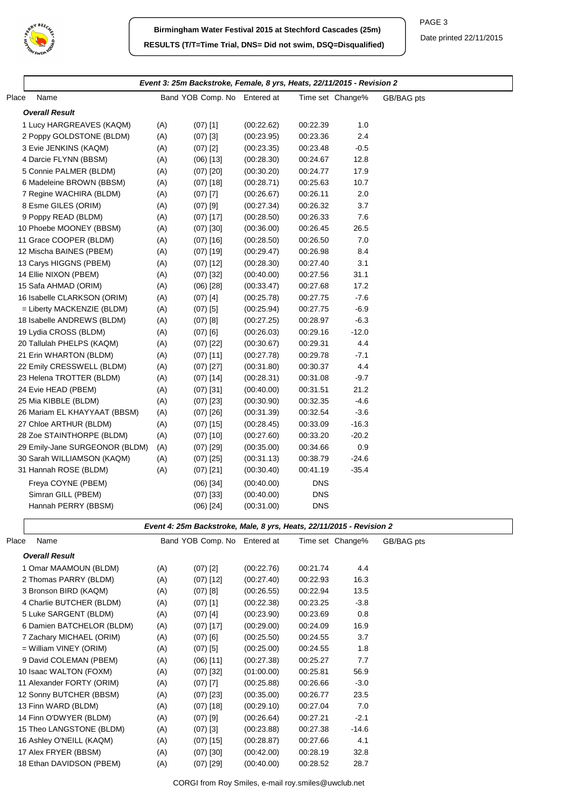

PAGE 3

Date printed 22/11/2015

 $\overline{\phantom{0}}$ 

|                                |     | Event 3: 25m Backstroke, Female, 8 yrs, Heats, 22/11/2015 - Revision 2 |            |            |                  |            |
|--------------------------------|-----|------------------------------------------------------------------------|------------|------------|------------------|------------|
| Place<br>Name                  |     | Band YOB Comp. No Entered at                                           |            |            | Time set Change% | GB/BAG pts |
| <b>Overall Result</b>          |     |                                                                        |            |            |                  |            |
| 1 Lucy HARGREAVES (KAQM)       | (A) | $(07)$ [1]                                                             | (00:22.62) | 00:22.39   | 1.0              |            |
| 2 Poppy GOLDSTONE (BLDM)       | (A) | $(07)$ [3]                                                             | (00:23.95) | 00:23.36   | 2.4              |            |
| 3 Evie JENKINS (KAQM)          | (A) | $(07)$ [2]                                                             | (00:23.35) | 00:23.48   | $-0.5$           |            |
| 4 Darcie FLYNN (BBSM)          | (A) | $(06)$ [13]                                                            | (00:28.30) | 00:24.67   | 12.8             |            |
| 5 Connie PALMER (BLDM)         | (A) | $(07)$ [20]                                                            | (00:30.20) | 00:24.77   | 17.9             |            |
| 6 Madeleine BROWN (BBSM)       | (A) | $(07)$ [18]                                                            | (00:28.71) | 00:25.63   | 10.7             |            |
| 7 Regine WACHIRA (BLDM)        | (A) | $(07)$ [7]                                                             | (00:26.67) | 00:26.11   | 2.0              |            |
| 8 Esme GILES (ORIM)            | (A) | $(07)$ [9]                                                             | (00:27.34) | 00:26.32   | 3.7              |            |
| 9 Poppy READ (BLDM)            | (A) | $(07)$ [17]                                                            | (00:28.50) | 00:26.33   | 7.6              |            |
| 10 Phoebe MOONEY (BBSM)        | (A) | $(07)$ [30]                                                            | (00:36.00) | 00:26.45   | 26.5             |            |
| 11 Grace COOPER (BLDM)         | (A) | $(07)$ [16]                                                            | (00:28.50) | 00:26.50   | 7.0              |            |
| 12 Mischa BAINES (PBEM)        | (A) | $(07)$ [19]                                                            | (00:29.47) | 00:26.98   | 8.4              |            |
| 13 Carys HIGGNS (PBEM)         | (A) | $(07)$ [12]                                                            | (00:28.30) | 00:27.40   | 3.1              |            |
| 14 Ellie NIXON (PBEM)          | (A) | $(07)$ [32]                                                            | (00:40.00) | 00:27.56   | 31.1             |            |
| 15 Safa AHMAD (ORIM)           | (A) | $(06)$ [28]                                                            | (00:33.47) | 00:27.68   | 17.2             |            |
| 16 Isabelle CLARKSON (ORIM)    | (A) | $(07)$ [4]                                                             | (00:25.78) | 00:27.75   | $-7.6$           |            |
| = Liberty MACKENZIE (BLDM)     | (A) | $(07)$ [5]                                                             | (00:25.94) | 00:27.75   | $-6.9$           |            |
| 18 Isabelle ANDREWS (BLDM)     | (A) | $(07)$ [8]                                                             | (00:27.25) | 00:28.97   | $-6.3$           |            |
| 19 Lydia CROSS (BLDM)          | (A) | $(07)$ [6]                                                             | (00:26.03) | 00:29.16   | $-12.0$          |            |
| 20 Tallulah PHELPS (KAQM)      | (A) | $(07)$ [22]                                                            | (00:30.67) | 00:29.31   | 4.4              |            |
| 21 Erin WHARTON (BLDM)         | (A) | $(07)$ [11]                                                            | (00:27.78) | 00:29.78   | $-7.1$           |            |
| 22 Emily CRESSWELL (BLDM)      | (A) | $(07)$ [27]                                                            | (00:31.80) | 00:30.37   | 4.4              |            |
| 23 Helena TROTTER (BLDM)       | (A) | $(07)$ [14]                                                            | (00:28.31) | 00:31.08   | $-9.7$           |            |
| 24 Evie HEAD (PBEM)            | (A) | $(07)$ [31]                                                            | (00:40.00) | 00:31.51   | 21.2             |            |
| 25 Mia KIBBLE (BLDM)           | (A) | $(07)$ [23]                                                            | (00:30.90) | 00:32.35   | $-4.6$           |            |
| 26 Mariam EL KHAYYAAT (BBSM)   | (A) | $(07)$ [26]                                                            | (00:31.39) | 00:32.54   | $-3.6$           |            |
| 27 Chloe ARTHUR (BLDM)         | (A) | $(07)$ [15]                                                            | (00:28.45) | 00:33.09   | $-16.3$          |            |
| 28 Zoe STAINTHORPE (BLDM)      | (A) | $(07)$ [10]                                                            | (00:27.60) | 00:33.20   | $-20.2$          |            |
| 29 Emily-Jane SURGEONOR (BLDM) | (A) | $(07)$ [29]                                                            | (00:35.00) | 00:34.66   | 0.9              |            |
| 30 Sarah WILLIAMSON (KAQM)     | (A) | $(07)$ [25]                                                            | (00:31.13) | 00:38.79   | $-24.6$          |            |
| 31 Hannah ROSE (BLDM)          | (A) | $(07)$ [21]                                                            | (00:30.40) | 00:41.19   | $-35.4$          |            |
| Freya COYNE (PBEM)             |     | $(06)$ [34]                                                            | (00:40.00) | <b>DNS</b> |                  |            |
| Simran GILL (PBEM)             |     |                                                                        | (00:40.00) | <b>DNS</b> |                  |            |
| Hannah PERRY (BBSM)            |     | $(07)$ [33]<br>$(06)$ [24]                                             | (00:31.00) | <b>DNS</b> |                  |            |
|                                |     |                                                                        |            |            |                  |            |
|                                |     | Event 4: 25m Backstroke, Male, 8 yrs, Heats, 22/11/2015 - Revision 2   |            |            |                  |            |
| Place<br>Name                  |     | Band YOB Comp. No Entered at                                           |            |            | Time set Change% | GB/BAG pts |
| <b>Overall Result</b>          |     |                                                                        |            |            |                  |            |
| 1 Omar MAAMOUN (BLDM)          | (A) | $(07)$ [2]                                                             | (00:22.76) | 00:21.74   | 4.4              |            |
| 2 Thomas PARRY (BLDM)          | (A) | $(07)$ [12]                                                            | (00:27.40) | 00:22.93   | 16.3             |            |
| 3 Bronson BIRD (KAQM)          | (A) | $(07)$ [8]                                                             | (00:26.55) | 00:22.94   | 13.5             |            |
| 4 Charlie BUTCHER (BLDM)       | (A) | $(07)$ [1]                                                             | (00:22.38) | 00:23.25   | $-3.8$           |            |
| 5 Luke SARGENT (BLDM)          | (A) | $(07)$ [4]                                                             | (00:23.90) | 00:23.69   | 0.8              |            |
| 6 Damien BATCHELOR (BLDM)      | (A) | $(07)$ [17]                                                            | (00:29.00) | 00:24.09   | 16.9             |            |
| 7 Zachary MICHAEL (ORIM)       | (A) | $(07)$ [6]                                                             | (00:25.50) | 00:24.55   | 3.7              |            |
| = William VINEY (ORIM)         | (A) | $(07)$ [5]                                                             | (00:25.00) | 00:24.55   | 1.8              |            |
| 9 David COLEMAN (PBEM)         | (A) | $(06)$ [11]                                                            | (00:27.38) | 00:25.27   | 7.7              |            |
| 10 Isaac WALTON (FOXM)         | (A) | $(07)$ [32]                                                            | (01:00.00) | 00:25.81   | 56.9             |            |
| 11 Alexander FORTY (ORIM)      | (A) | $(07)$ [7]                                                             | (00:25.88) | 00:26.66   | $-3.0$           |            |
| 12 Sonny BUTCHER (BBSM)        | (A) | $(07)$ [23]                                                            | (00:35.00) | 00:26.77   | 23.5             |            |
| 13 Finn WARD (BLDM)            | (A) | $(07)$ [18]                                                            | (00:29.10) | 00:27.04   | 7.0              |            |
| 14 Finn O'DWYER (BLDM)         | (A) | $(07)$ [9]                                                             | (00:26.64) | 00:27.21   | $-2.1$           |            |
| 15 Theo LANGSTONE (BLDM)       | (A) | $(07)$ [3]                                                             | (00:23.88) | 00:27.38   | $-14.6$          |            |
| 16 Ashley O'NEILL (KAQM)       | (A) | $(07)$ [15]                                                            | (00:28.87) | 00:27.66   | 4.1              |            |

17 Alex FRYER (BBSM) (A) (07) [30] (00:42.00) 00:28.19 32.8 18 Ethan DAVIDSON (PBEM) (A) (07) [29] (00:40.00) 00:28.52 28.7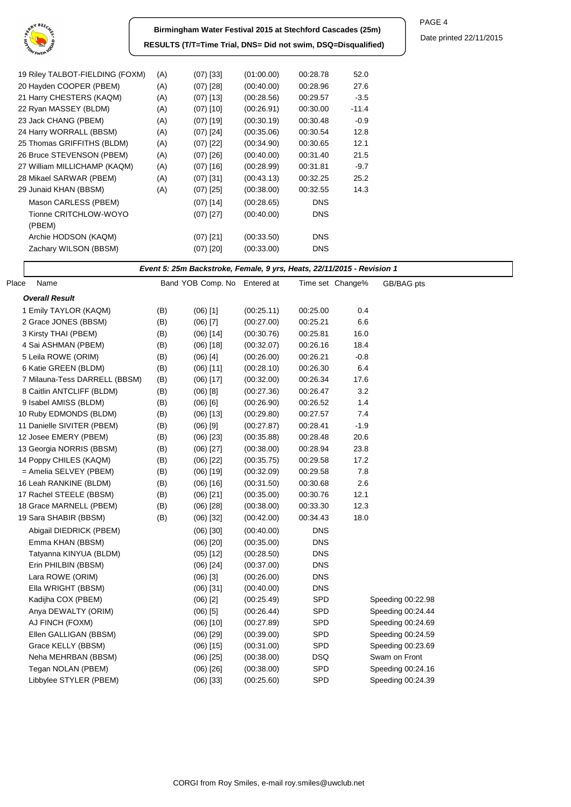

| Birmingham Water Festival 2015 at Stechford Cascades (25m)    |  |
|---------------------------------------------------------------|--|
| RESULTS (T/T=Time Trial, DNS= Did not swim, DSQ=Disqualified) |  |

| 19 Riley TALBOT-FIELDING (FOXM) | (A) | $(07)$ [33] | (01:00.00) | 00:28.78   | 52.0    |
|---------------------------------|-----|-------------|------------|------------|---------|
| 20 Hayden COOPER (PBEM)         | (A) | $(07)$ [28] | (00.40.00) | 00:28.96   | 27.6    |
| 21 Harry CHESTERS (KAQM)        | (A) | $(07)$ [13] | (00:28.56) | 00:29.57   | $-3.5$  |
| 22 Ryan MASSEY (BLDM)           | (A) | $(07)$ [10] | (00:26.91) | 00:30.00   | $-11.4$ |
| 23 Jack CHANG (PBEM)            | (A) | $(07)$ [19] | (00:30.19) | 00:30.48   | $-0.9$  |
| 24 Harry WORRALL (BBSM)         | (A) | $(07)$ [24] | (00.35.06) | 00:30.54   | 12.8    |
| 25 Thomas GRIFFITHS (BLDM)      | (A) | $(07)$ [22] | (00.34.90) | 00:30.65   | 12.1    |
| 26 Bruce STEVENSON (PBEM)       | (A) | $(07)$ [26] | (00.40.00) | 00:31.40   | 21.5    |
| 27 William MILLICHAMP (KAQM)    | (A) | $(07)$ [16] | (00:28.99) | 00:31.81   | $-9.7$  |
| 28 Mikael SARWAR (PBEM)         | (A) | $(07)$ [31] | (00:43.13) | 00:32.25   | 25.2    |
| 29 Junaid KHAN (BBSM)           | (A) | $(07)$ [25] | (00:38.00) | 00:32.55   | 14.3    |
| Mason CARLESS (PBEM)            |     | $(07)$ [14] | (00:28.65) | <b>DNS</b> |         |
| Tionne CRITCHLOW-WOYO           |     | $(07)$ [27] | (00.40.00) | <b>DNS</b> |         |
| (PBEM)                          |     |             |            |            |         |
| Archie HODSON (KAQM)            |     | $(07)$ [21] | (00:33.50) | <b>DNS</b> |         |
| Zachary WILSON (BBSM)           |     | (07) [20]   | (00:33.00) | <b>DNS</b> |         |
|                                 |     |             |            |            |         |

## **Event 5: 25m Backstroke, Female, 9 yrs, Heats, 22/11/2015 - Revision 1**

| Place | Name                          |     | Band YOB Comp. No Entered at |            |            | Time set Change% | GB/BAG pts        |
|-------|-------------------------------|-----|------------------------------|------------|------------|------------------|-------------------|
|       | <b>Overall Result</b>         |     |                              |            |            |                  |                   |
|       | 1 Emily TAYLOR (KAQM)         | (B) | $(06)$ [1]                   | (00:25.11) | 00:25.00   | 0.4              |                   |
|       | 2 Grace JONES (BBSM)          | (B) | $(06)$ [7]                   | (00:27.00) | 00:25.21   | 6.6              |                   |
|       | 3 Kirsty THAI (PBEM)          | (B) | $(06)$ [14]                  | (00:30.76) | 00:25.81   | 16.0             |                   |
|       | 4 Sai ASHMAN (PBEM)           | (B) | $(06)$ [18]                  | (00:32.07) | 00:26.16   | 18.4             |                   |
|       | 5 Leila ROWE (ORIM)           | (B) | $(06)$ [4]                   | (00:26.00) | 00:26.21   | $-0.8$           |                   |
|       | 6 Katie GREEN (BLDM)          | (B) | $(06)$ [11]                  | (00:28.10) | 00:26.30   | 6.4              |                   |
|       | 7 Milauna-Tess DARRELL (BBSM) | (B) | $(06)$ [17]                  | (00:32.00) | 00:26.34   | 17.6             |                   |
|       | 8 Caitlin ANTCLIFF (BLDM)     | (B) | $(06)$ [8]                   | (00:27.36) | 00:26.47   | 3.2              |                   |
|       | 9 Isabel AMISS (BLDM)         | (B) | $(06)$ $[6]$                 | (00:26.90) | 00:26.52   | 1.4              |                   |
|       | 10 Ruby EDMONDS (BLDM)        | (B) | $(06)$ [13]                  | (00:29.80) | 00:27.57   | 7.4              |                   |
|       | 11 Danielle SIVITER (PBEM)    | (B) | $(06)$ [9]                   | (00:27.87) | 00:28.41   | $-1.9$           |                   |
|       | 12 Josee EMERY (PBEM)         | (B) | $(06)$ [23]                  | (00:35.88) | 00:28.48   | 20.6             |                   |
|       | 13 Georgia NORRIS (BBSM)      | (B) | $(06)$ [27]                  | (00:38.00) | 00:28.94   | 23.8             |                   |
|       | 14 Poppy CHILES (KAQM)        | (B) | $(06)$ [22]                  | (00:35.75) | 00:29.58   | 17.2             |                   |
|       | = Amelia SELVEY (PBEM)        | (B) | $(06)$ [19]                  | (00:32.09) | 00:29.58   | 7.8              |                   |
|       | 16 Leah RANKINE (BLDM)        | (B) | $(06)$ [16]                  | (00:31.50) | 00:30.68   | 2.6              |                   |
|       | 17 Rachel STEELE (BBSM)       | (B) | $(06)$ [21]                  | (00:35.00) | 00:30.76   | 12.1             |                   |
|       | 18 Grace MARNELL (PBEM)       | (B) | $(06)$ [28]                  | (00:38.00) | 00:33.30   | 12.3             |                   |
|       | 19 Sara SHABIR (BBSM)         | (B) | $(06)$ [32]                  | (00:42.00) | 00:34.43   | 18.0             |                   |
|       | Abigail DIEDRICK (PBEM)       |     | $(06)$ [30]                  | (00:40.00) | <b>DNS</b> |                  |                   |
|       | Emma KHAN (BBSM)              |     | $(06)$ [20]                  | (00:35.00) | <b>DNS</b> |                  |                   |
|       | Tatyanna KINYUA (BLDM)        |     | $(05)$ [12]                  | (00:28.50) | <b>DNS</b> |                  |                   |
|       | Erin PHILBIN (BBSM)           |     | $(06)$ [24]                  | (00:37.00) | <b>DNS</b> |                  |                   |
|       | Lara ROWE (ORIM)              |     | $(06)$ [3]                   | (00:26.00) | <b>DNS</b> |                  |                   |
|       | Ella WRIGHT (BBSM)            |     | $(06)$ [31]                  | (00:40.00) | <b>DNS</b> |                  |                   |
|       | Kadijha COX (PBEM)            |     | $(06)$ [2]                   | (00:25.49) | <b>SPD</b> |                  | Speeding 00:22.98 |
|       | Anya DEWALTY (ORIM)           |     | $(06)$ [5]                   | (00:26.44) | SPD        |                  | Speeding 00:24.44 |
|       | AJ FINCH (FOXM)               |     | $(06)$ [10]                  | (00:27.89) | SPD        |                  | Speeding 00:24.69 |
|       | Ellen GALLIGAN (BBSM)         |     | $(06)$ [29]                  | (00:39.00) | SPD        |                  | Speeding 00:24.59 |
|       | Grace KELLY (BBSM)            |     | $(06)$ [15]                  | (00:31.00) | SPD        |                  | Speeding 00:23.69 |
|       | Neha MEHRBAN (BBSM)           |     | $(06)$ [25]                  | (00:38.00) | <b>DSQ</b> |                  | Swam on Front     |
|       | Tegan NOLAN (PBEM)            |     | $(06)$ [26]                  | (00:38.00) | SPD        |                  | Speeding 00:24.16 |
|       | Libbylee STYLER (PBEM)        |     | $(06)$ [33]                  | (00:25.60) | SPD        |                  | Speeding 00:24.39 |
|       |                               |     |                              |            |            |                  |                   |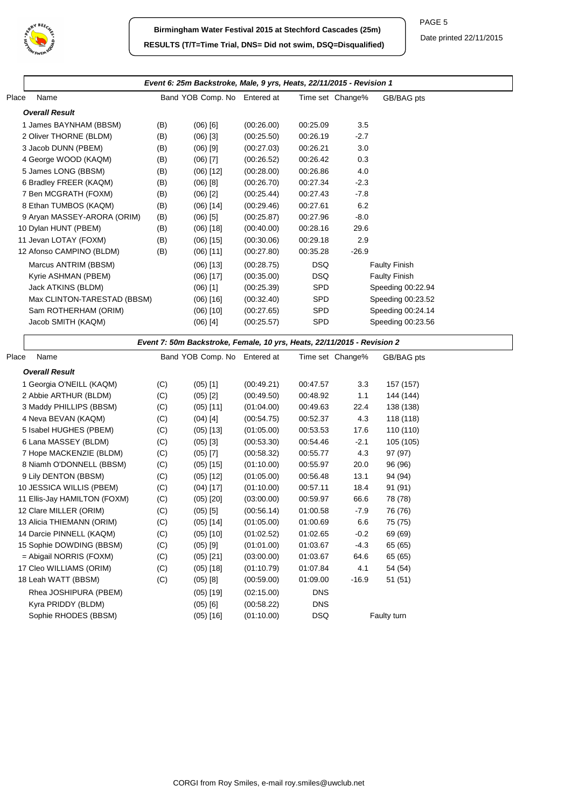

|                                                |     | Event 6: 25m Backstroke, Male, 9 yrs, Heats, 22/11/2015 - Revision 1    |            |            |                  |                      |
|------------------------------------------------|-----|-------------------------------------------------------------------------|------------|------------|------------------|----------------------|
| Name                                           |     | Band YOB Comp. No                                                       | Entered at |            | Time set Change% | GB/BAG pts           |
| <b>Overall Result</b>                          |     |                                                                         |            |            |                  |                      |
| 1 James BAYNHAM (BBSM)                         | (B) | $(06)$ [6]                                                              | (00:26.00) | 00:25.09   | 3.5              |                      |
| 2 Oliver THORNE (BLDM)                         | (B) | $(06)$ [3]                                                              | (00:25.50) | 00:26.19   | $-2.7$           |                      |
| 3 Jacob DUNN (PBEM)                            | (B) | $(06)$ [9]                                                              | (00:27.03) | 00:26.21   | 3.0              |                      |
| 4 George WOOD (KAQM)                           | (B) | $(06)$ [7]                                                              | (00:26.52) | 00:26.42   | 0.3              |                      |
| 5 James LONG (BBSM)                            | (B) | $(06)$ [12]                                                             | (00:28.00) | 00:26.86   | 4.0              |                      |
| 6 Bradley FREER (KAQM)                         | (B) | $(06)$ [8]                                                              | (00:26.70) | 00:27.34   | $-2.3$           |                      |
| 7 Ben MCGRATH (FOXM)                           | (B) | $(06)$ [2]                                                              | (00:25.44) | 00:27.43   | $-7.8$           |                      |
| 8 Ethan TUMBOS (KAQM)                          | (B) | $(06)$ [14]                                                             | (00:29.46) | 00:27.61   | 6.2              |                      |
| 9 Aryan MASSEY-ARORA (ORIM)                    | (B) | $(06)$ [5]                                                              | (00:25.87) | 00:27.96   | $-8.0$           |                      |
| 10 Dylan HUNT (PBEM)                           | (B) | $(06)$ [18]                                                             | (00:40.00) | 00:28.16   | 29.6             |                      |
| 11 Jevan LOTAY (FOXM)                          | (B) | $(06)$ [15]                                                             | (00:30.06) | 00:29.18   | 2.9              |                      |
| 12 Afonso CAMPINO (BLDM)                       | (B) | $(06)$ [11]                                                             | (00:27.80) | 00:35.28   | $-26.9$          |                      |
| Marcus ANTRIM (BBSM)                           |     | $(06)$ [13]                                                             | (00:28.75) | <b>DSQ</b> |                  | <b>Faulty Finish</b> |
| Kyrie ASHMAN (PBEM)                            |     | $(06)$ [17]                                                             | (00:35.00) | <b>DSQ</b> |                  | <b>Faulty Finish</b> |
| Jack ATKINS (BLDM)                             |     | $(06)$ [1]                                                              | (00:25.39) | SPD        |                  | Speeding 00:22.94    |
| Max CLINTON-TARESTAD (BBSM)                    |     | $(06)$ [16]                                                             | (00:32.40) | SPD        |                  | Speeding 00:23.52    |
| Sam ROTHERHAM (ORIM)                           |     | $(06)$ [10]                                                             | (00:27.65) | SPD        |                  | Speeding 00:24.14    |
| Jacob SMITH (KAQM)                             |     | (06) [4]                                                                | (00:25.57) | SPD        |                  | Speeding 00:23.56    |
|                                                |     | Event 7: 50m Backstroke, Female, 10 yrs, Heats, 22/11/2015 - Revision 2 |            |            |                  |                      |
| Name<br>Place                                  |     | Band YOB Comp. No Entered at                                            |            |            | Time set Change% | GB/BAG pts           |
| <b>Overall Result</b>                          |     |                                                                         |            |            |                  |                      |
| 1 Georgia O'NEILL (KAQM)                       | (C) | $(05)$ [1]                                                              | (00:49.21) | 00:47.57   | 3.3              | 157 (157)            |
| 2 Abbie ARTHUR (BLDM)                          | (C) | $(05)$ [2]                                                              | (00:49.50) | 00:48.92   | 1.1              | 144 (144)            |
| 3 Maddy PHILLIPS (BBSM)                        | (C) | $(05)$ [11]                                                             | (01:04.00) | 00:49.63   | 22.4             | 138 (138)            |
| 4 Neva BEVAN (KAQM)                            | (C) | $(04)$ [4]                                                              | (00:54.75) | 00:52.37   | 4.3              | 118 (118)            |
| 5 Isabel HUGHES (PBEM)                         | (C) | $(05)$ [13]                                                             | (01:05.00) | 00:53.53   | 17.6             | 110 (110)            |
| 6 Lana MASSEY (BLDM)                           | (C) | $(05)$ [3]                                                              | (00:53.30) | 00:54.46   | $-2.1$           | 105 (105)            |
| 7 Hope MACKENZIE (BLDM)                        | (C) | $(05)$ [7]                                                              | (00:58.32) | 00:55.77   | 4.3              | 97 (97)              |
| 8 Niamh O'DONNELL (BBSM)                       | (C) | $(05)$ [15]                                                             | (01:10.00) | 00:55.97   | 20.0             | 96 (96)              |
| 9 Lily DENTON (BBSM)                           | (C) | $(05)$ [12]                                                             | (01:05.00) | 00:56.48   | 13.1             | 94 (94)              |
| 10 JESSICA WILLIS (PBEM)                       | (C) | $(04)$ [17]                                                             | (01:10.00) | 00:57.11   | 18.4             | 91 (91)              |
| 11 Ellis-Jay HAMILTON (FOXM)                   | (C) | $(05)$ [20]                                                             | (03:00.00) | 00:59.97   | 66.6             | 78 (78)              |
| 12 Clare MILLER (ORIM)                         | (C) | $(05)$ [5]                                                              | (00:56.14) | 01:00.58   | $-7.9$           | 76 (76)              |
| 13 Alicia THIEMANN (ORIM)                      | (C) | $(05)$ [14]                                                             | (01:05.00) | 01:00.69   | 6.6              | 75 (75)              |
| 14 Darcie PINNELL (KAQM)                       | (C) | $(05)$ [10]                                                             | (01:02.52) | 01:02.65   | $-0.2$           | 69 (69)              |
| 15 Sophie DOWDING (BBSM)                       | (C) | $(05)$ [9]                                                              | (01:01.00) | 01:03.67   | $-4.3$           | 65 (65)              |
| = Abigail NORRIS (FOXM)                        | (C) | $(05)$ [21]                                                             | (03:00.00) | 01:03.67   | 64.6             | 65 (65)              |
|                                                | (C) | $(05)$ [18]                                                             | (01:10.79) | 01:07.84   | 4.1              | 54 (54)              |
|                                                |     |                                                                         |            |            |                  |                      |
| 17 Cleo WILLIAMS (ORIM)<br>18 Leah WATT (BBSM) | (C) | $(05)$ [8]                                                              | (00:59.00) | 01:09.00   | $-16.9$          | 51(51)               |
| Rhea JOSHIPURA (PBEM)                          |     |                                                                         | (02:15.00) | <b>DNS</b> |                  |                      |
| Kyra PRIDDY (BLDM)                             |     | $(05)$ [19]<br>$(05)$ [6]                                               | (00:58.22) | <b>DNS</b> |                  |                      |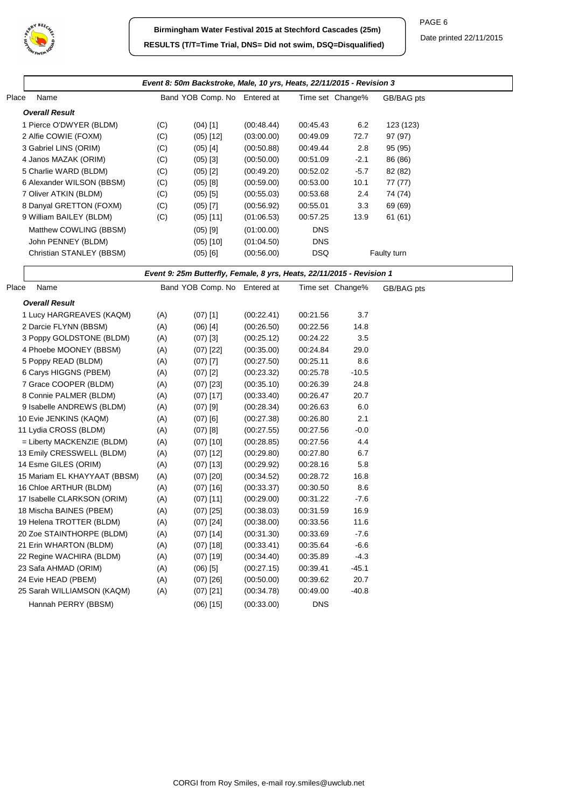

|       |                              |     | Event 8: 50m Backstroke, Male, 10 yrs, Heats, 22/11/2015 - Revision 3 |            |            |                  |             |
|-------|------------------------------|-----|-----------------------------------------------------------------------|------------|------------|------------------|-------------|
| Place | Name                         |     | Band YOB Comp. No Entered at                                          |            |            | Time set Change% | GB/BAG pts  |
|       | <b>Overall Result</b>        |     |                                                                       |            |            |                  |             |
|       | 1 Pierce O'DWYER (BLDM)      | (C) | $(04)$ [1]                                                            | (00:48.44) | 00:45.43   | 6.2              | 123 (123)   |
|       | 2 Alfie COWIE (FOXM)         | (C) | $(05)$ [12]                                                           | (03:00.00) | 00:49.09   | 72.7             | 97 (97)     |
|       | 3 Gabriel LINS (ORIM)        | (C) | $(05)$ [4]                                                            | (00:50.88) | 00:49.44   | 2.8              | 95 (95)     |
|       | 4 Janos MAZAK (ORIM)         | (C) | $(05)$ [3]                                                            | (00:50.00) | 00:51.09   | $-2.1$           | 86 (86)     |
|       | 5 Charlie WARD (BLDM)        | (C) | $(05)$ [2]                                                            | (00:49.20) | 00:52.02   | $-5.7$           | 82 (82)     |
|       | 6 Alexander WILSON (BBSM)    | (C) | $(05)$ [8]                                                            | (00:59.00) | 00:53.00   | 10.1             | 77 (77)     |
|       | 7 Oliver ATKIN (BLDM)        | (C) | $(05)$ [5]                                                            | (00:55.03) | 00:53.68   | 2.4              | 74 (74)     |
|       | 8 Danyal GRETTON (FOXM)      | (C) | $(05)$ [7]                                                            | (00:56.92) | 00:55.01   | 3.3              | 69 (69)     |
|       | 9 William BAILEY (BLDM)      | (C) | $(05)$ [11]                                                           | (01:06.53) | 00:57.25   | 13.9             | 61(61)      |
|       | Matthew COWLING (BBSM)       |     | $(05)$ [9]                                                            | (01:00.00) | <b>DNS</b> |                  |             |
|       | John PENNEY (BLDM)           |     | $(05)$ [10]                                                           | (01:04.50) | <b>DNS</b> |                  |             |
|       | Christian STANLEY (BBSM)     |     | $(05)$ [6]                                                            | (00:56.00) | <b>DSQ</b> |                  | Faulty turn |
|       |                              |     |                                                                       |            |            |                  |             |
|       |                              |     | Event 9: 25m Butterfly, Female, 8 yrs, Heats, 22/11/2015 - Revision 1 |            |            |                  |             |
| Place | Name                         |     | Band YOB Comp. No Entered at                                          |            |            | Time set Change% | GB/BAG pts  |
|       | <b>Overall Result</b>        |     |                                                                       |            |            |                  |             |
|       | 1 Lucy HARGREAVES (KAQM)     | (A) | $(07)$ [1]                                                            | (00:22.41) | 00:21.56   | 3.7              |             |
|       | 2 Darcie FLYNN (BBSM)        | (A) | $(06)$ [4]                                                            | (00:26.50) | 00:22.56   | 14.8             |             |
|       | 3 Poppy GOLDSTONE (BLDM)     | (A) | $(07)$ [3]                                                            | (00:25.12) | 00:24.22   | 3.5              |             |
|       | 4 Phoebe MOONEY (BBSM)       | (A) | $(07)$ [22]                                                           | (00:35.00) | 00:24.84   | 29.0             |             |
|       | 5 Poppy READ (BLDM)          | (A) | $(07)$ [7]                                                            | (00:27.50) | 00:25.11   | 8.6              |             |
|       | 6 Carys HIGGNS (PBEM)        | (A) | $(07)$ [2]                                                            | (00:23.32) | 00:25.78   | $-10.5$          |             |
|       | 7 Grace COOPER (BLDM)        | (A) | $(07)$ [23]                                                           | (00:35.10) | 00:26.39   | 24.8             |             |
|       | 8 Connie PALMER (BLDM)       | (A) | $(07)$ [17]                                                           | (00:33.40) | 00:26.47   | 20.7             |             |
|       | 9 Isabelle ANDREWS (BLDM)    | (A) | $(07)$ [9]                                                            | (00:28.34) | 00:26.63   | 6.0              |             |
|       | 10 Evie JENKINS (KAQM)       | (A) | $(07)$ [6]                                                            | (00:27.38) | 00:26.80   | 2.1              |             |
|       | 11 Lydia CROSS (BLDM)        | (A) | $(07)$ [8]                                                            | (00:27.55) | 00:27.56   | $-0.0$           |             |
|       | = Liberty MACKENZIE (BLDM)   | (A) | $(07)$ [10]                                                           | (00:28.85) | 00:27.56   | 4.4              |             |
|       | 13 Emily CRESSWELL (BLDM)    | (A) | $(07)$ [12]                                                           | (00:29.80) | 00:27.80   | 6.7              |             |
|       | 14 Esme GILES (ORIM)         | (A) | $(07)$ [13]                                                           | (00:29.92) | 00:28.16   | 5.8              |             |
|       | 15 Mariam EL KHAYYAAT (BBSM) | (A) | $(07)$ [20]                                                           | (00:34.52) | 00:28.72   | 16.8             |             |
|       | 16 Chloe ARTHUR (BLDM)       | (A) | $(07)$ [16]                                                           | (00:33.37) | 00:30.50   | 8.6              |             |
|       | 17 Isabelle CLARKSON (ORIM)  | (A) | $(07)$ [11]                                                           | (00:29.00) | 00:31.22   | $-7.6$           |             |
|       | 18 Mischa BAINES (PBEM)      | (A) | $(07)$ [25]                                                           | (00:38.03) | 00:31.59   | 16.9             |             |
|       | 19 Helena TROTTER (BLDM)     | (A) | $(07)$ [24]                                                           | (00:38.00) | 00:33.56   | 11.6             |             |
|       | 20 Zoe STAINTHORPE (BLDM)    | (A) | $(07)$ [14]                                                           | (00:31.30) | 00:33.69   | $-7.6$           |             |
|       | 21 Erin WHARTON (BLDM)       | (A) | $(07)$ [18]                                                           | (00:33.41) | 00:35.64   | $-6.6$           |             |
|       | 22 Regine WACHIRA (BLDM)     | (A) | $(07)$ [19]                                                           | (00:34.40) | 00:35.89   | $-4.3$           |             |
|       | 23 Safa AHMAD (ORIM)         | (A) | $(06)$ [5]                                                            | (00:27.15) | 00:39.41   | $-45.1$          |             |
|       | 24 Evie HEAD (PBEM)          | (A) | $(07)$ [26]                                                           | (00:50.00) | 00:39.62   | 20.7             |             |
|       | 25 Sarah WILLIAMSON (KAQM)   | (A) | $(07)$ [21]                                                           | (00:34.78) | 00:49.00   | $-40.8$          |             |
|       | Hannah PERRY (BBSM)          |     | $(06)$ [15]                                                           | (00:33.00) | <b>DNS</b> |                  |             |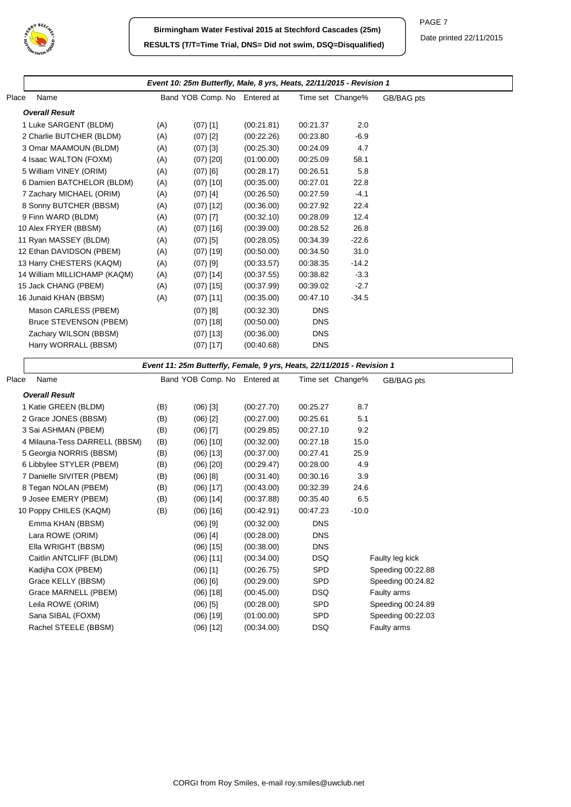

|                               |     | Event 10: 25m Butterfly, Male, 8 yrs, Heats, 22/11/2015 - Revision 1   |            |            |                  |                   |  |
|-------------------------------|-----|------------------------------------------------------------------------|------------|------------|------------------|-------------------|--|
| Place<br>Name                 |     | Band YOB Comp. No Entered at                                           |            |            | Time set Change% | GB/BAG pts        |  |
| <b>Overall Result</b>         |     |                                                                        |            |            |                  |                   |  |
| 1 Luke SARGENT (BLDM)         | (A) | $(07)$ [1]                                                             | (00:21.81) | 00:21.37   | 2.0              |                   |  |
| 2 Charlie BUTCHER (BLDM)      | (A) | $(07)$ [2]                                                             | (00:22.26) | 00:23.80   | $-6.9$           |                   |  |
| 3 Omar MAAMOUN (BLDM)         | (A) | $(07)$ [3]                                                             | (00:25.30) | 00:24.09   | 4.7              |                   |  |
| 4 Isaac WALTON (FOXM)         | (A) | $(07)$ [20]                                                            | (01:00.00) | 00:25.09   | 58.1             |                   |  |
| 5 William VINEY (ORIM)        | (A) | $(07)$ [6]                                                             | (00:28.17) | 00:26.51   | 5.8              |                   |  |
| 6 Damien BATCHELOR (BLDM)     | (A) | $(07)$ [10]                                                            | (00:35.00) | 00:27.01   | 22.8             |                   |  |
| 7 Zachary MICHAEL (ORIM)      | (A) | $(07)$ [4]                                                             | (00:26.50) | 00:27.59   | $-4.1$           |                   |  |
| 8 Sonny BUTCHER (BBSM)        | (A) | $(07)$ [12]                                                            | (00:36.00) | 00:27.92   | 22.4             |                   |  |
| 9 Finn WARD (BLDM)            | (A) | $(07)$ [7]                                                             | (00:32.10) | 00:28.09   | 12.4             |                   |  |
| 10 Alex FRYER (BBSM)          | (A) | $(07)$ [16]                                                            | (00:39.00) | 00:28.52   | 26.8             |                   |  |
| 11 Ryan MASSEY (BLDM)         | (A) | $(07)$ [5]                                                             | (00:28.05) | 00:34.39   | $-22.6$          |                   |  |
| 12 Ethan DAVIDSON (PBEM)      | (A) | $(07)$ [19]                                                            | (00:50.00) | 00:34.50   | 31.0             |                   |  |
| 13 Harry CHESTERS (KAQM)      | (A) | $(07)$ [9]                                                             | (00:33.57) | 00:38.35   | $-14.2$          |                   |  |
| 14 William MILLICHAMP (KAQM)  | (A) | $(07)$ [14]                                                            | (00:37.55) | 00:38.82   | $-3.3$           |                   |  |
| 15 Jack CHANG (PBEM)          | (A) | $(07)$ [15]                                                            | (00:37.99) | 00:39.02   | $-2.7$           |                   |  |
| 16 Junaid KHAN (BBSM)         | (A) | $(07)$ [11]                                                            | (00:35.00) | 00:47.10   | $-34.5$          |                   |  |
| Mason CARLESS (PBEM)          |     | $(07)$ [8]                                                             | (00:32.30) | <b>DNS</b> |                  |                   |  |
| Bruce STEVENSON (PBEM)        |     | $(07)$ [18]                                                            | (00:50.00) | <b>DNS</b> |                  |                   |  |
| Zachary WILSON (BBSM)         |     | $(07)$ [13]                                                            | (00:36.00) | <b>DNS</b> |                  |                   |  |
| Harry WORRALL (BBSM)          |     | $(07)$ [17]                                                            | (00:40.68) | <b>DNS</b> |                  |                   |  |
|                               |     | Event 11: 25m Butterfly, Female, 9 yrs, Heats, 22/11/2015 - Revision 1 |            |            |                  |                   |  |
| Place<br>Name                 |     | Band YOB Comp. No Entered at                                           |            |            | Time set Change% | GB/BAG pts        |  |
| <b>Overall Result</b>         |     |                                                                        |            |            |                  |                   |  |
| 1 Katie GREEN (BLDM)          | (B) | $(06)$ [3]                                                             | (00:27.70) | 00:25.27   | 8.7              |                   |  |
| 2 Grace JONES (BBSM)          | (B) | $(06)$ [2]                                                             | (00:27.00) | 00:25.61   | 5.1              |                   |  |
| 3 Sai ASHMAN (PBEM)           | (B) | $(06)$ [7]                                                             | (00:29.85) | 00:27.10   | 9.2              |                   |  |
| 4 Milauna-Tess DARRELL (BBSM) | (B) | $(06)$ [10]                                                            | (00:32.00) | 00:27.18   | 15.0             |                   |  |
| 5 Georgia NORRIS (BBSM)       | (B) | $(06)$ [13]                                                            | (00:37.00) | 00:27.41   | 25.9             |                   |  |
| 6 Libbylee STYLER (PBEM)      | (B) | $(06)$ [20]                                                            | (00:29.47) | 00:28.00   | 4.9              |                   |  |
| 7 Danielle SIVITER (PBEM)     | (B) | $(06)$ [8]                                                             | (00:31.40) | 00:30.16   | 3.9              |                   |  |
| 8 Tegan NOLAN (PBEM)          | (B) | $(06)$ [17]                                                            | (00:43.00) | 00:32.39   | 24.6             |                   |  |
| 9 Josee EMERY (PBEM)          | (B) | $(06)$ [14]                                                            | (00:37.88) | 00:35.40   | 6.5              |                   |  |
| 10 Poppy CHILES (KAQM)        | (B) | $(06)$ [16]                                                            | (00:42.91) | 00:47.23   | $-10.0$          |                   |  |
| Emma KHAN (BBSM)              |     | $(06)$ [9]                                                             | (00:32.00) | <b>DNS</b> |                  |                   |  |
| Lara ROWE (ORIM)              |     | $(06)$ [4]                                                             | (00:28.00) | DNS        |                  |                   |  |
| Ella WRIGHT (BBSM)            |     | $(06)$ [15]                                                            | (00:38.00) | <b>DNS</b> |                  |                   |  |
| Caitlin ANTCLIFF (BLDM)       |     | $(06)$ [11]                                                            | (00:34.00) | <b>DSQ</b> |                  | Faulty leg kick   |  |
| Kadijha COX (PBEM)            |     | $(06)$ [1]                                                             | (00:26.75) | SPD        |                  | Speeding 00:22.88 |  |
| Grace KELLY (BBSM)            |     | $(06)$ $[6]$                                                           | (00:29.00) | SPD        |                  | Speeding 00:24.82 |  |
| Grace MARNELL (PBEM)          |     | $(06)$ [18]                                                            | (00:45.00) | DSQ        |                  | Faulty arms       |  |
| Leila ROWE (ORIM)             |     | $(06)$ [5]                                                             | (00:28.00) | SPD        |                  | Speeding 00:24.89 |  |
| Sana SIBAL (FOXM)             |     | $(06)$ [19]                                                            | (01:00.00) | SPD        |                  | Speeding 00:22.03 |  |
| Rachel STEELE (BBSM)          |     | $(06)$ [12]                                                            | (00:34.00) | DSQ        |                  | Faulty arms       |  |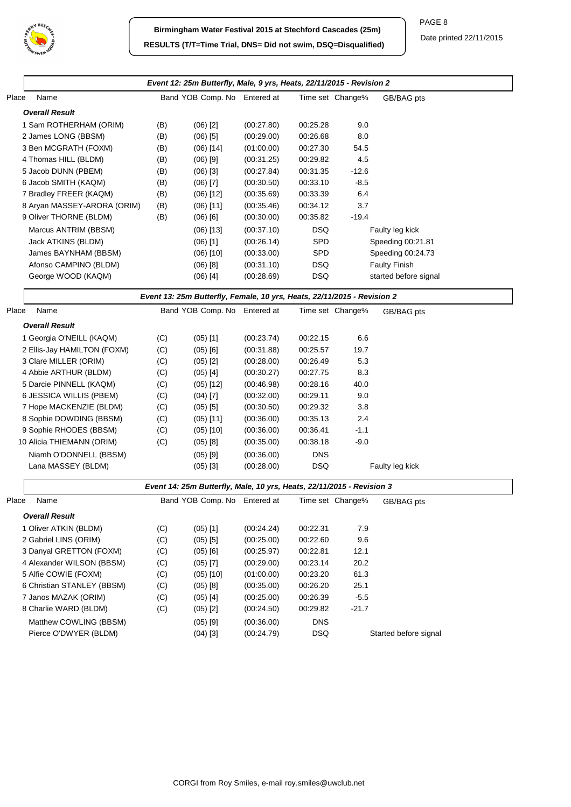

|       | Event 12: 25m Butterfly, Male, 9 yrs, Heats, 22/11/2015 - Revision 2                                                                                                                                           |                                        |                                                                                                               |                                                                                                              |                                                                                                  |                                                   |                       |  |  |  |
|-------|----------------------------------------------------------------------------------------------------------------------------------------------------------------------------------------------------------------|----------------------------------------|---------------------------------------------------------------------------------------------------------------|--------------------------------------------------------------------------------------------------------------|--------------------------------------------------------------------------------------------------|---------------------------------------------------|-----------------------|--|--|--|
| Place | Name                                                                                                                                                                                                           |                                        | Band YOB Comp. No Entered at                                                                                  |                                                                                                              |                                                                                                  | Time set Change%                                  | GB/BAG pts            |  |  |  |
|       | <b>Overall Result</b>                                                                                                                                                                                          |                                        |                                                                                                               |                                                                                                              |                                                                                                  |                                                   |                       |  |  |  |
|       | 1 Sam ROTHERHAM (ORIM)                                                                                                                                                                                         | (B)                                    | $(06)$ [2]                                                                                                    | (00:27.80)                                                                                                   | 00:25.28                                                                                         | 9.0                                               |                       |  |  |  |
|       | 2 James LONG (BBSM)                                                                                                                                                                                            | (B)                                    | $(06)$ [5]                                                                                                    | (00:29.00)                                                                                                   | 00:26.68                                                                                         | 8.0                                               |                       |  |  |  |
|       | 3 Ben MCGRATH (FOXM)                                                                                                                                                                                           | (B)                                    | $(06)$ [14]                                                                                                   | (01:00.00)                                                                                                   | 00:27.30                                                                                         | 54.5                                              |                       |  |  |  |
|       | 4 Thomas HILL (BLDM)                                                                                                                                                                                           | (B)                                    | $(06)$ [9]                                                                                                    | (00:31.25)                                                                                                   | 00:29.82                                                                                         | 4.5                                               |                       |  |  |  |
|       | 5 Jacob DUNN (PBEM)                                                                                                                                                                                            | (B)                                    | $(06)$ [3]                                                                                                    | (00:27.84)                                                                                                   | 00:31.35                                                                                         | $-12.6$                                           |                       |  |  |  |
|       | 6 Jacob SMITH (KAQM)                                                                                                                                                                                           | (B)                                    | $(06)$ [7]                                                                                                    | (00:30.50)                                                                                                   | 00:33.10                                                                                         | $-8.5$                                            |                       |  |  |  |
|       | 7 Bradley FREER (KAQM)                                                                                                                                                                                         | (B)                                    | $(06)$ [12]                                                                                                   | (00:35.69)                                                                                                   | 00:33.39                                                                                         | 6.4                                               |                       |  |  |  |
|       | 8 Aryan MASSEY-ARORA (ORIM)                                                                                                                                                                                    | (B)                                    | $(06)$ [11]                                                                                                   | (00:35.46)                                                                                                   | 00:34.12                                                                                         | 3.7                                               |                       |  |  |  |
|       | 9 Oliver THORNE (BLDM)                                                                                                                                                                                         | (B)                                    | $(06)$ [6]                                                                                                    | (00:30.00)                                                                                                   | 00:35.82                                                                                         | $-19.4$                                           |                       |  |  |  |
|       | Marcus ANTRIM (BBSM)                                                                                                                                                                                           |                                        | $(06)$ [13]                                                                                                   | (00:37.10)                                                                                                   | <b>DSQ</b>                                                                                       |                                                   | Faulty leg kick       |  |  |  |
|       | Jack ATKINS (BLDM)                                                                                                                                                                                             |                                        | $(06)$ [1]                                                                                                    | (00:26.14)                                                                                                   | SPD                                                                                              |                                                   | Speeding 00:21.81     |  |  |  |
|       | James BAYNHAM (BBSM)                                                                                                                                                                                           |                                        | $(06)$ [10]                                                                                                   | (00:33.00)                                                                                                   | <b>SPD</b>                                                                                       |                                                   | Speeding 00:24.73     |  |  |  |
|       | Afonso CAMPINO (BLDM)                                                                                                                                                                                          |                                        | $(06)$ [8]                                                                                                    | (00:31.10)                                                                                                   | <b>DSQ</b>                                                                                       |                                                   | <b>Faulty Finish</b>  |  |  |  |
|       | George WOOD (KAQM)                                                                                                                                                                                             |                                        | $(06)$ [4]                                                                                                    | (00:28.69)                                                                                                   | <b>DSQ</b>                                                                                       |                                                   | started before signal |  |  |  |
|       |                                                                                                                                                                                                                |                                        | Event 13: 25m Butterfly, Female, 10 yrs, Heats, 22/11/2015 - Revision 2                                       |                                                                                                              |                                                                                                  |                                                   |                       |  |  |  |
| Place | Name                                                                                                                                                                                                           |                                        | Band YOB Comp. No Entered at                                                                                  |                                                                                                              |                                                                                                  | Time set Change%                                  | GB/BAG pts            |  |  |  |
|       | <b>Overall Result</b>                                                                                                                                                                                          |                                        |                                                                                                               |                                                                                                              |                                                                                                  |                                                   |                       |  |  |  |
|       | 1 Georgia O'NEILL (KAQM)                                                                                                                                                                                       | (C)                                    | $(05)$ [1]                                                                                                    | (00:23.74)                                                                                                   | 00:22.15                                                                                         | 6.6                                               |                       |  |  |  |
|       | 2 Ellis-Jay HAMILTON (FOXM)                                                                                                                                                                                    | (C)                                    | $(05)$ [6]                                                                                                    | (00.31.88)                                                                                                   | 00:25.57                                                                                         | 19.7                                              |                       |  |  |  |
|       | 3 Clare MILLER (ORIM)                                                                                                                                                                                          | (C)                                    | $(05)$ [2]                                                                                                    | (00:28.00)                                                                                                   | 00:26.49                                                                                         | 5.3                                               |                       |  |  |  |
|       | 4 Abbie ARTHUR (BLDM)                                                                                                                                                                                          | (C)                                    | $(05)$ [4]                                                                                                    | (00:30.27)                                                                                                   | 00:27.75                                                                                         | 8.3                                               |                       |  |  |  |
|       | 5 Darcie PINNELL (KAQM)                                                                                                                                                                                        | (C)                                    | $(05)$ [12]                                                                                                   | (00:46.98)                                                                                                   | 00:28.16                                                                                         | 40.0                                              |                       |  |  |  |
|       | 6 JESSICA WILLIS (PBEM)                                                                                                                                                                                        | (C)                                    | $(04)$ [7]                                                                                                    | (00:32.00)                                                                                                   | 00:29.11                                                                                         | 9.0                                               |                       |  |  |  |
|       | 7 Hope MACKENZIE (BLDM)                                                                                                                                                                                        | (C)                                    | $(05)$ [5]                                                                                                    | (00:30.50)                                                                                                   | 00:29.32                                                                                         | 3.8                                               |                       |  |  |  |
|       | 8 Sophie DOWDING (BBSM)                                                                                                                                                                                        | (C)                                    | $(05)$ [11]                                                                                                   | (00:36.00)                                                                                                   | 00:35.13                                                                                         | 2.4                                               |                       |  |  |  |
|       | 9 Sophie RHODES (BBSM)                                                                                                                                                                                         | (C)                                    | $(05)$ [10]                                                                                                   | (00:36.00)                                                                                                   | 00:36.41                                                                                         | $-1.1$                                            |                       |  |  |  |
|       | 10 Alicia THIEMANN (ORIM)                                                                                                                                                                                      | (C)                                    | (05) [8]                                                                                                      | (00:35.00)                                                                                                   | 00:38.18                                                                                         | $-9.0$                                            |                       |  |  |  |
|       | Niamh O'DONNELL (BBSM)                                                                                                                                                                                         |                                        | $(05)$ [9]                                                                                                    | (00:36.00)                                                                                                   | <b>DNS</b>                                                                                       |                                                   |                       |  |  |  |
|       | Lana MASSEY (BLDM)                                                                                                                                                                                             |                                        | $(05)$ [3]                                                                                                    | (00:28.00)                                                                                                   | <b>DSQ</b>                                                                                       |                                                   | Faulty leg kick       |  |  |  |
|       |                                                                                                                                                                                                                |                                        | Event 14: 25m Butterfly, Male, 10 yrs, Heats, 22/11/2015 - Revision 3                                         |                                                                                                              |                                                                                                  |                                                   |                       |  |  |  |
| Place | Name                                                                                                                                                                                                           |                                        | Band YOB Comp. No Entered at                                                                                  |                                                                                                              |                                                                                                  | Time set Change%                                  | GB/BAG pts            |  |  |  |
|       | <b>Overall Result</b>                                                                                                                                                                                          |                                        |                                                                                                               |                                                                                                              |                                                                                                  |                                                   |                       |  |  |  |
|       | 1 Oliver ATKIN (BLDM)                                                                                                                                                                                          | (C)                                    | $(05)$ [1]                                                                                                    | (00:24.24)                                                                                                   | 00:22.31                                                                                         | 7.9                                               |                       |  |  |  |
|       | 2 Gabriel LINS (ORIM)                                                                                                                                                                                          | (C)                                    | $(05)$ [5]                                                                                                    | (00:25.00)                                                                                                   | 00:22.60                                                                                         | 9.6                                               |                       |  |  |  |
|       |                                                                                                                                                                                                                |                                        |                                                                                                               |                                                                                                              |                                                                                                  |                                                   |                       |  |  |  |
|       |                                                                                                                                                                                                                |                                        |                                                                                                               |                                                                                                              |                                                                                                  |                                                   |                       |  |  |  |
|       |                                                                                                                                                                                                                |                                        |                                                                                                               |                                                                                                              |                                                                                                  |                                                   |                       |  |  |  |
|       |                                                                                                                                                                                                                |                                        |                                                                                                               |                                                                                                              |                                                                                                  |                                                   |                       |  |  |  |
|       |                                                                                                                                                                                                                |                                        |                                                                                                               |                                                                                                              |                                                                                                  |                                                   |                       |  |  |  |
|       |                                                                                                                                                                                                                |                                        |                                                                                                               |                                                                                                              |                                                                                                  |                                                   |                       |  |  |  |
|       |                                                                                                                                                                                                                |                                        |                                                                                                               |                                                                                                              |                                                                                                  |                                                   |                       |  |  |  |
|       |                                                                                                                                                                                                                |                                        |                                                                                                               |                                                                                                              |                                                                                                  |                                                   |                       |  |  |  |
|       | 3 Danyal GRETTON (FOXM)<br>4 Alexander WILSON (BBSM)<br>5 Alfie COWIE (FOXM)<br>6 Christian STANLEY (BBSM)<br>7 Janos MAZAK (ORIM)<br>8 Charlie WARD (BLDM)<br>Matthew COWLING (BBSM)<br>Pierce O'DWYER (BLDM) | (C)<br>(C)<br>(C)<br>(C)<br>(C)<br>(C) | $(05)$ [6]<br>$(05)$ [7]<br>$(05)$ [10]<br>$(05)$ [8]<br>$(05)$ [4]<br>$(05)$ [2]<br>$(05)$ [9]<br>$(04)$ [3] | (00:25.97)<br>(00:29.00)<br>(01:00.00)<br>(00:35.00)<br>(00:25.00)<br>(00:24.50)<br>(00:36.00)<br>(00:24.79) | 00:22.81<br>00:23.14<br>00:23.20<br>00:26.20<br>00:26.39<br>00:29.82<br><b>DNS</b><br><b>DSQ</b> | 12.1<br>20.2<br>61.3<br>25.1<br>$-5.5$<br>$-21.7$ | Started before signal |  |  |  |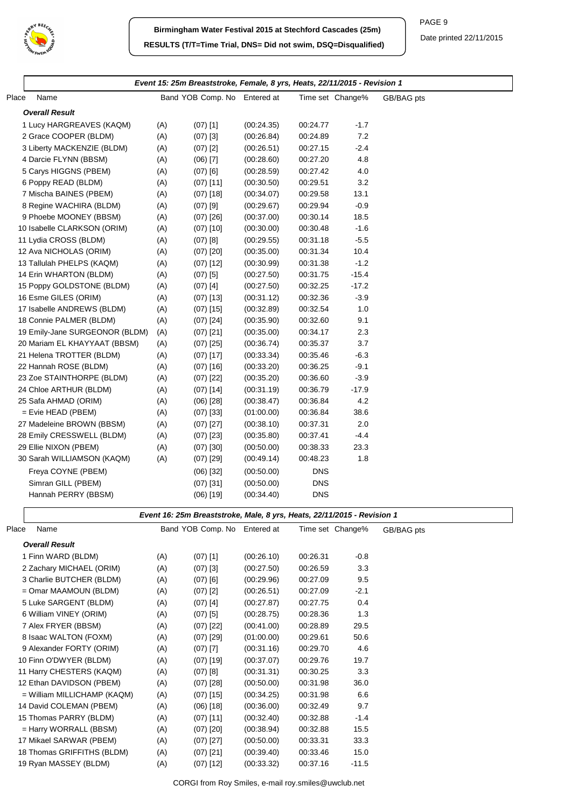

PAGE 9

|                                |     | Event 15: 25m Breaststroke, Female, 8 yrs, Heats, 22/11/2015 - Revision 1 |            |            |                  |            |
|--------------------------------|-----|---------------------------------------------------------------------------|------------|------------|------------------|------------|
| Place<br>Name                  |     | Band YOB Comp. No Entered at                                              |            |            | Time set Change% | GB/BAG pts |
| <b>Overall Result</b>          |     |                                                                           |            |            |                  |            |
| 1 Lucy HARGREAVES (KAQM)       | (A) | $(07)$ [1]                                                                | (00:24.35) | 00:24.77   | $-1.7$           |            |
| 2 Grace COOPER (BLDM)          | (A) | $(07)$ [3]                                                                | (00:26.84) | 00:24.89   | 7.2              |            |
| 3 Liberty MACKENZIE (BLDM)     | (A) | $(07)$ [2]                                                                | (00:26.51) | 00:27.15   | $-2.4$           |            |
| 4 Darcie FLYNN (BBSM)          | (A) | $(06)$ [7]                                                                | (00:28.60) | 00:27.20   | 4.8              |            |
| 5 Carys HIGGNS (PBEM)          | (A) | $(07)$ [6]                                                                | (00:28.59) | 00:27.42   | 4.0              |            |
| 6 Poppy READ (BLDM)            | (A) | $(07)$ [11]                                                               | (00:30.50) | 00:29.51   | 3.2              |            |
| 7 Mischa BAINES (PBEM)         | (A) | $(07)$ [18]                                                               | (00:34.07) | 00:29.58   | 13.1             |            |
| 8 Regine WACHIRA (BLDM)        | (A) | $(07)$ [9]                                                                | (00:29.67) | 00:29.94   | $-0.9$           |            |
| 9 Phoebe MOONEY (BBSM)         | (A) | $(07)$ [26]                                                               | (00:37.00) | 00:30.14   | 18.5             |            |
| 10 Isabelle CLARKSON (ORIM)    | (A) | $(07)$ [10]                                                               | (00:30.00) | 00:30.48   | $-1.6$           |            |
| 11 Lydia CROSS (BLDM)          | (A) | $(07)$ [8]                                                                | (00:29.55) | 00:31.18   | $-5.5$           |            |
| 12 Ava NICHOLAS (ORIM)         | (A) | $(07)$ [20]                                                               | (00:35.00) | 00:31.34   | 10.4             |            |
| 13 Tallulah PHELPS (KAQM)      | (A) | $(07)$ [12]                                                               | (00:30.99) | 00:31.38   | $-1.2$           |            |
| 14 Erin WHARTON (BLDM)         | (A) | $(07)$ [5]                                                                | (00:27.50) | 00:31.75   | $-15.4$          |            |
| 15 Poppy GOLDSTONE (BLDM)      | (A) | $(07)$ [4]                                                                | (00:27.50) | 00:32.25   | $-17.2$          |            |
| 16 Esme GILES (ORIM)           | (A) | $(07)$ [13]                                                               | (00:31.12) | 00:32.36   | $-3.9$           |            |
| 17 Isabelle ANDREWS (BLDM)     | (A) | $(07)$ [15]                                                               | (00:32.89) | 00:32.54   | 1.0              |            |
| 18 Connie PALMER (BLDM)        | (A) | $(07)$ [24]                                                               | (00:35.90) | 00:32.60   | 9.1              |            |
| 19 Emily-Jane SURGEONOR (BLDM) | (A) | $(07)$ [21]                                                               | (00:35.00) | 00:34.17   | 2.3              |            |
| 20 Mariam EL KHAYYAAT (BBSM)   | (A) | $(07)$ [25]                                                               | (00:36.74) | 00:35.37   | 3.7              |            |
| 21 Helena TROTTER (BLDM)       | (A) | $(07)$ [17]                                                               | (00:33.34) | 00:35.46   | $-6.3$           |            |
| 22 Hannah ROSE (BLDM)          | (A) | $(07)$ [16]                                                               | (00:33.20) | 00:36.25   | $-9.1$           |            |
| 23 Zoe STAINTHORPE (BLDM)      | (A) | $(07)$ [22]                                                               | (00:35.20) | 00:36.60   | $-3.9$           |            |
| 24 Chloe ARTHUR (BLDM)         | (A) | $(07)$ [14]                                                               | (00:31.19) | 00:36.79   | $-17.9$          |            |
| 25 Safa AHMAD (ORIM)           | (A) | $(06)$ [28]                                                               | (00:38.47) | 00:36.84   | 4.2              |            |
| $=$ Evie HEAD (PBEM)           | (A) | $(07)$ [33]                                                               | (01:00.00) | 00:36.84   | 38.6             |            |
| 27 Madeleine BROWN (BBSM)      | (A) | $(07)$ [27]                                                               | (00:38.10) | 00:37.31   | 2.0              |            |
| 28 Emily CRESSWELL (BLDM)      | (A) | $(07)$ [23]                                                               | (00:35.80) | 00:37.41   | $-4.4$           |            |
| 29 Ellie NIXON (PBEM)          | (A) | $(07)$ [30]                                                               | (00:50.00) | 00:38.33   | 23.3             |            |
| 30 Sarah WILLIAMSON (KAQM)     | (A) | $(07)$ [29]                                                               | (00:49.14) | 00:48.23   | 1.8              |            |
| Freya COYNE (PBEM)             |     | $(06)$ [32]                                                               | (00:50.00) | <b>DNS</b> |                  |            |
| Simran GILL (PBEM)             |     | $(07)$ [31]                                                               | (00:50.00) | <b>DNS</b> |                  |            |
| Hannah PERRY (BBSM)            |     | (06) [19]                                                                 | (00:34.40) | <b>DNS</b> |                  |            |
|                                |     | Event 16: 25m Breaststroke, Male, 8 yrs, Heats, 22/11/2015 - Revision 1   |            |            |                  |            |
| Place<br>Name                  |     | Band YOB Comp. No Entered at                                              |            |            | Time set Change% | GB/BAG pts |
| <b>Overall Result</b>          |     |                                                                           |            |            |                  |            |
| 1 Finn WARD (BLDM)             | (A) | $(07)$ [1]                                                                | (00:26.10) | 00:26.31   | $-0.8$           |            |
| 2 Zachary MICHAEL (ORIM)       | (A) | $(07)$ [3]                                                                | (00:27.50) | 00:26.59   | 3.3              |            |
| 3 Charlie BUTCHER (BLDM)       | (A) | $(07)$ [6]                                                                | (00:29.96) | 00:27.09   | 9.5              |            |
| = Omar MAAMOUN (BLDM)          | (A) | $(07)$ [2]                                                                | (00:26.51) | 00:27.09   | $-2.1$           |            |
| 5 Luke SARGENT (BLDM)          | (A) | $(07)$ [4]                                                                | (00:27.87) | 00:27.75   | 0.4              |            |
| 6 William VINEY (ORIM)         | (A) | $(07)$ [5]                                                                | (00:28.75) | 00:28.36   | 1.3              |            |
| 7 Alex FRYER (BBSM)            | (A) | $(07)$ [22]                                                               | (00:41.00) | 00:28.89   | 29.5             |            |
| 8 Isaac WALTON (FOXM)          | (A) | $(07)$ [29]                                                               | (01:00.00) | 00:29.61   | 50.6             |            |
| 9 Alexander FORTY (ORIM)       | (A) | $(07)$ [7]                                                                | (00:31.16) | 00:29.70   | 4.6              |            |
| 10 Finn O'DWYER (BLDM)         | (A) | $(07)$ [19]                                                               | (00:37.07) | 00:29.76   | 19.7             |            |
| 11 Harry CHESTERS (KAQM)       | (A) | $(07)$ [8]                                                                | (00:31.31) | 00:30.25   | 3.3              |            |
| 12 Ethan DAVIDSON (PBEM)       | (A) | $(07)$ [28]                                                               | (00:50.00) | 00:31.98   | 36.0             |            |
| = William MILLICHAMP (KAQM)    | (A) | $(07)$ [15]                                                               | (00:34.25) | 00:31.98   | 6.6              |            |
| 14 David COLEMAN (PBEM)        | (A) | $(06)$ [18]                                                               | (00:36.00) | 00:32.49   | 9.7              |            |
| 15 Thomas PARRY (BLDM)         | (A) | $(07)$ [11]                                                               | (00:32.40) | 00:32.88   | $-1.4$           |            |
| = Harry WORRALL (BBSM)         | (A) | $(07)$ [20]                                                               | (00:38.94) | 00:32.88   | 15.5             |            |
| 17 Mikael SARWAR (PBEM)        | (A) | $(07)$ [27]                                                               | (00:50.00) | 00:33.31   | 33.3             |            |
| 18 Thomas GRIFFITHS (BLDM)     | (A) | $(07)$ [21]                                                               | (00:39.40) | 00:33.46   | 15.0             |            |
| 19 Ryan MASSEY (BLDM)          | (A) | $(07)$ [12]                                                               | (00:33.32) | 00:37.16   | $-11.5$          |            |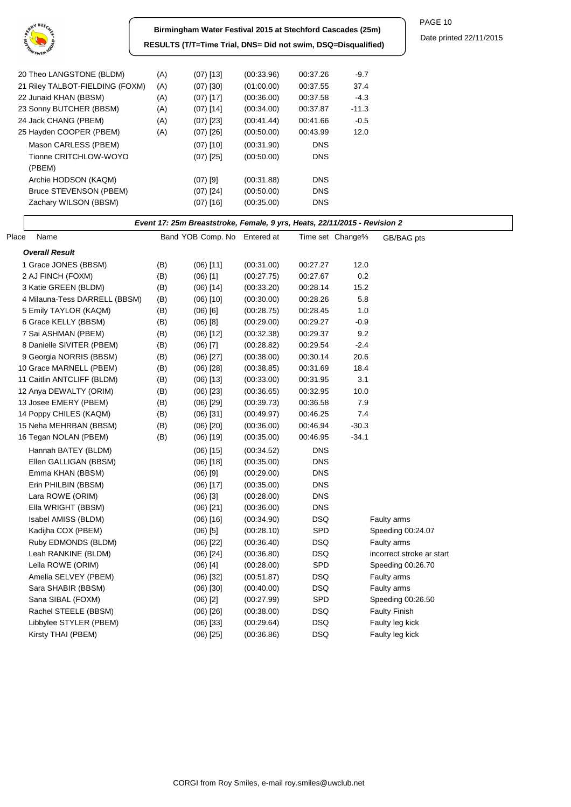

**Birmingham Water Festival 2015 at Stechford Cascades (25m) RESULTS (T/T=Time Trial, DNS= Did not swim, DSQ=Disqualified)** PAGE 10

| 20 Theo LANGSTONE (BLDM)        | (A) | $(07)$ [13] | (00.33.96) | 00:37.26   | $-9.7$  |
|---------------------------------|-----|-------------|------------|------------|---------|
| 21 Riley TALBOT-FIELDING (FOXM) | (A) | $(07)$ [30] | (01:00.00) | 00:37.55   | 37.4    |
| 22 Junaid KHAN (BBSM)           | (A) | $(07)$ [17] | (00:36.00) | 00:37.58   | $-4.3$  |
| 23 Sonny BUTCHER (BBSM)         | (A) | $(07)$ [14] | (00.34.00) | 00:37.87   | $-11.3$ |
| 24 Jack CHANG (PBEM)            | (A) | $(07)$ [23] | (00.41.44) | 00:41.66   | $-0.5$  |
| 25 Hayden COOPER (PBEM)         | (A) | $(07)$ [26] | (00.50.00) | 00:43.99   | 12.0    |
| Mason CARLESS (PBEM)            |     | $(07)$ [10] | (00:31.90) | <b>DNS</b> |         |
| Tionne CRITCHLOW-WOYO           |     | $(07)$ [25] | (00:50.00) | <b>DNS</b> |         |
| (PBEM)                          |     |             |            |            |         |
| Archie HODSON (KAQM)            |     | $(07)$ [9]  | (00.31.88) | <b>DNS</b> |         |
| Bruce STEVENSON (PBEM)          |     | $(07)$ [24] | (00:50.00) | <b>DNS</b> |         |
| Zachary WILSON (BBSM)           |     | $(07)$ [16] | (00:35.00) | <b>DNS</b> |         |
|                                 |     |             |            |            |         |

| Event 17: 25m Breaststroke, Female, 9 yrs, Heats, 22/11/2015 - Revision 2 |     |                              |            |            |                  |                           |  |  |  |
|---------------------------------------------------------------------------|-----|------------------------------|------------|------------|------------------|---------------------------|--|--|--|
| Place<br>Name                                                             |     | Band YOB Comp. No Entered at |            |            | Time set Change% | GB/BAG pts                |  |  |  |
| <b>Overall Result</b>                                                     |     |                              |            |            |                  |                           |  |  |  |
| 1 Grace JONES (BBSM)                                                      | (B) | $(06)$ [11]                  | (00:31.00) | 00:27.27   | 12.0             |                           |  |  |  |
| 2 AJ FINCH (FOXM)                                                         | (B) | $(06)$ [1]                   | (00:27.75) | 00:27.67   | 0.2              |                           |  |  |  |
| 3 Katie GREEN (BLDM)                                                      | (B) | $(06)$ [14]                  | (00:33.20) | 00:28.14   | 15.2             |                           |  |  |  |
| 4 Milauna-Tess DARRELL (BBSM)                                             | (B) | $(06)$ [10]                  | (00:30.00) | 00:28.26   | 5.8              |                           |  |  |  |
| 5 Emily TAYLOR (KAQM)                                                     | (B) | $(06)$ $[6]$                 | (00:28.75) | 00:28.45   | 1.0              |                           |  |  |  |
| 6 Grace KELLY (BBSM)                                                      | (B) | $(06)$ [8]                   | (00:29.00) | 00:29.27   | $-0.9$           |                           |  |  |  |
| 7 Sai ASHMAN (PBEM)                                                       | (B) | $(06)$ [12]                  | (00:32.38) | 00:29.37   | 9.2              |                           |  |  |  |
| 8 Danielle SIVITER (PBEM)                                                 | (B) | $(06)$ [7]                   | (00:28.82) | 00:29.54   | $-2.4$           |                           |  |  |  |
| 9 Georgia NORRIS (BBSM)                                                   | (B) | $(06)$ [27]                  | (00:38.00) | 00:30.14   | 20.6             |                           |  |  |  |
| 10 Grace MARNELL (PBEM)                                                   | (B) | $(06)$ [28]                  | (00:38.85) | 00:31.69   | 18.4             |                           |  |  |  |
| 11 Caitlin ANTCLIFF (BLDM)                                                | (B) | $(06)$ [13]                  | (00:33.00) | 00:31.95   | 3.1              |                           |  |  |  |
| 12 Anya DEWALTY (ORIM)                                                    | (B) | $(06)$ [23]                  | (00:36.65) | 00:32.95   | 10.0             |                           |  |  |  |
| 13 Josee EMERY (PBEM)                                                     | (B) | $(06)$ [29]                  | (00:39.73) | 00:36.58   | 7.9              |                           |  |  |  |
| 14 Poppy CHILES (KAQM)                                                    | (B) | $(06)$ [31]                  | (00:49.97) | 00:46.25   | 7.4              |                           |  |  |  |
| 15 Neha MEHRBAN (BBSM)                                                    | (B) | $(06)$ [20]                  | (00:36.00) | 00:46.94   | $-30.3$          |                           |  |  |  |
| 16 Tegan NOLAN (PBEM)                                                     | (B) | $(06)$ [19]                  | (00:35.00) | 00:46.95   | $-34.1$          |                           |  |  |  |
| Hannah BATEY (BLDM)                                                       |     | $(06)$ [15]                  | (00:34.52) | <b>DNS</b> |                  |                           |  |  |  |
| Ellen GALLIGAN (BBSM)                                                     |     | $(06)$ [18]                  | (00:35.00) | <b>DNS</b> |                  |                           |  |  |  |
| Emma KHAN (BBSM)                                                          |     | $(06)$ [9]                   | (00:29.00) | <b>DNS</b> |                  |                           |  |  |  |
| Erin PHILBIN (BBSM)                                                       |     | $(06)$ [17]                  | (00:35.00) | <b>DNS</b> |                  |                           |  |  |  |
| Lara ROWE (ORIM)                                                          |     | $(06)$ [3]                   | (00:28.00) | <b>DNS</b> |                  |                           |  |  |  |
| Ella WRIGHT (BBSM)                                                        |     | $(06)$ [21]                  | (00:36.00) | <b>DNS</b> |                  |                           |  |  |  |
| Isabel AMISS (BLDM)                                                       |     | $(06)$ [16]                  | (00:34.90) | <b>DSQ</b> |                  | Faulty arms               |  |  |  |
| Kadijha COX (PBEM)                                                        |     | $(06)$ [5]                   | (00:28.10) | SPD        |                  | Speeding 00:24.07         |  |  |  |
| Ruby EDMONDS (BLDM)                                                       |     | $(06)$ [22]                  | (00:36.40) | <b>DSQ</b> |                  | Faulty arms               |  |  |  |
| Leah RANKINE (BLDM)                                                       |     | $(06)$ [24]                  | (00:36.80) | <b>DSQ</b> |                  | incorrect stroke ar start |  |  |  |
| Leila ROWE (ORIM)                                                         |     | $(06)$ [4]                   | (00:28.00) | SPD        |                  | Speeding 00:26.70         |  |  |  |
| Amelia SELVEY (PBEM)                                                      |     | $(06)$ [32]                  | (00:51.87) | <b>DSQ</b> |                  | Faulty arms               |  |  |  |
| Sara SHABIR (BBSM)                                                        |     | $(06)$ [30]                  | (00:40.00) | <b>DSQ</b> |                  | Faulty arms               |  |  |  |
| Sana SIBAL (FOXM)                                                         |     | $(06)$ [2]                   | (00:27.99) | SPD        |                  | Speeding 00:26.50         |  |  |  |
| Rachel STEELE (BBSM)                                                      |     | $(06)$ [26]                  | (00:38.00) | <b>DSQ</b> |                  | <b>Faulty Finish</b>      |  |  |  |
| Libbylee STYLER (PBEM)                                                    |     | $(06)$ [33]                  | (00:29.64) | <b>DSQ</b> |                  | Faulty leg kick           |  |  |  |
| Kirsty THAI (PBEM)                                                        |     | $(06)$ [25]                  | (00:36.86) | <b>DSQ</b> |                  | Faulty leg kick           |  |  |  |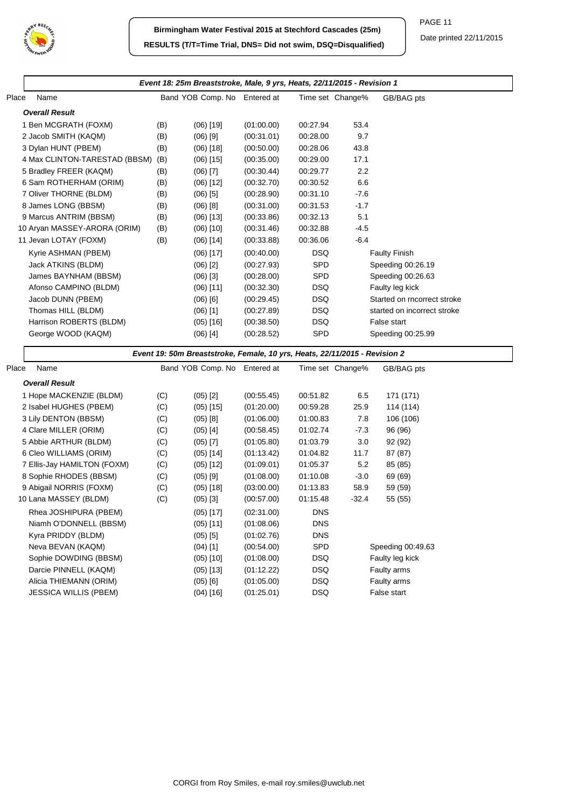

|       |                                   |     | Event 18: 25m Breaststroke, Male, 9 yrs, Heats, 22/11/2015 - Revision 1    |            |            |                  |                             |
|-------|-----------------------------------|-----|----------------------------------------------------------------------------|------------|------------|------------------|-----------------------------|
| Place | Name                              |     | Band YOB Comp. No Entered at                                               |            |            | Time set Change% | GB/BAG pts                  |
|       | <b>Overall Result</b>             |     |                                                                            |            |            |                  |                             |
|       | 1 Ben MCGRATH (FOXM)              | (B) | $(06)$ [19]                                                                | (01:00.00) | 00:27.94   | 53.4             |                             |
|       | 2 Jacob SMITH (KAQM)              | (B) | $(06)$ [9]                                                                 | (00:31.01) | 00:28.00   | 9.7              |                             |
|       | 3 Dylan HUNT (PBEM)               | (B) | $(06)$ [18]                                                                | (00:50.00) | 00:28.06   | 43.8             |                             |
|       | 4 Max CLINTON-TARESTAD (BBSM) (B) |     | $(06)$ [15]                                                                | (00:35.00) | 00:29.00   | 17.1             |                             |
|       | 5 Bradley FREER (KAQM)            | (B) | $(06)$ [7]                                                                 | (00:30.44) | 00:29.77   | 2.2              |                             |
|       | 6 Sam ROTHERHAM (ORIM)            | (B) | $(06)$ [12]                                                                | (00:32.70) | 00:30.52   | 6.6              |                             |
|       | 7 Oliver THORNE (BLDM)            | (B) | $(06)$ [5]                                                                 | (00:28.90) | 00:31.10   | $-7.6$           |                             |
|       | 8 James LONG (BBSM)               | (B) | $(06)$ [8]                                                                 | (00:31.00) | 00:31.53   | $-1.7$           |                             |
|       | 9 Marcus ANTRIM (BBSM)            | (B) | $(06)$ [13]                                                                | (00:33.86) | 00:32.13   | 5.1              |                             |
|       | 10 Aryan MASSEY-ARORA (ORIM)      | (B) | $(06)$ [10]                                                                | (00:31.46) | 00:32.88   | $-4.5$           |                             |
|       | 11 Jevan LOTAY (FOXM)             | (B) | $(06)$ [14]                                                                | (00:33.88) | 00:36.06   | $-6.4$           |                             |
|       | Kyrie ASHMAN (PBEM)               |     | $(06)$ [17]                                                                | (00:40.00) | <b>DSQ</b> |                  | <b>Faulty Finish</b>        |
|       | Jack ATKINS (BLDM)                |     | $(06)$ [2]                                                                 | (00:27.93) | SPD        |                  | Speeding 00:26.19           |
|       | James BAYNHAM (BBSM)              |     | $(06)$ [3]                                                                 | (00:28.00) | SPD        |                  | Speeding 00:26.63           |
|       | Afonso CAMPINO (BLDM)             |     | $(06)$ [11]                                                                | (00:32.30) | <b>DSQ</b> |                  | Faulty leg kick             |
|       | Jacob DUNN (PBEM)                 |     | $(06)$ [6]                                                                 | (00:29.45) | <b>DSQ</b> |                  | Started on rncorrect stroke |
|       | Thomas HILL (BLDM)                |     | $(06)$ [1]                                                                 | (00:27.89) | <b>DSQ</b> |                  | started on incorrect stroke |
|       | Harrison ROBERTS (BLDM)           |     | $(05)$ [16]                                                                | (00:38.50) | <b>DSQ</b> |                  | False start                 |
|       | George WOOD (KAQM)                |     | $(06)$ [4]                                                                 | (00:28.52) | SPD        |                  | Speeding 00:25.99           |
|       |                                   |     | Event 19: 50m Breaststroke, Female, 10 yrs, Heats, 22/11/2015 - Revision 2 |            |            |                  |                             |
| Place | Name                              |     | Band YOB Comp. No Entered at                                               |            |            | Time set Change% | GB/BAG pts                  |
|       | <b>Overall Result</b>             |     |                                                                            |            |            |                  |                             |
|       | 1 Hope MACKENZIE (BLDM)           | (C) | $(05)$ [2]                                                                 | (00:55.45) | 00:51.82   | 6.5              | 171 (171)                   |
|       | 2 Isabel HUGHES (PBEM)            | (C) | $(05)$ [15]                                                                | (01:20.00) | 00:59.28   | 25.9             | 114 (114)                   |
|       | 3 Lily DENTON (BBSM)              | (C) | $(05)$ [8]                                                                 | (01:06.00) | 01:00.83   | 7.8              | 106 (106)                   |
|       | 4 Clare MILLER (ORIM)             | (C) | $(05)$ [4]                                                                 | (00:58.45) | 01:02.74   | $-7.3$           | 96 (96)                     |
|       | 5 Abbie ARTHUR (BLDM)             | (C) | $(05)$ [7]                                                                 | (01:05.80) | 01:03.79   | 3.0              | 92 (92)                     |
|       | 6 Cleo WILLIAMS (ORIM)            | (C) | $(05)$ [14]                                                                | (01:13.42) | 01:04.82   | 11.7             | 87 (87)                     |
|       | 7 Ellis-Jay HAMILTON (FOXM)       | (C) | $(05)$ [12]                                                                | (01:09.01) | 01:05.37   | 5.2              | 85 (85)                     |
|       | 8 Sophie RHODES (BBSM)            | (C) | $(05)$ [9]                                                                 | (01:08.00) | 01:10.08   | $-3.0$           | 69 (69)                     |
|       | 9 Abigail NORRIS (FOXM)           | (C) | $(05)$ [18]                                                                | (03:00.00) | 01:13.83   | 58.9             | 59 (59)                     |
|       | 10 Lana MASSEY (BLDM)             | (C) | $(05)$ [3]                                                                 | (00:57.00) | 01:15.48   | $-32.4$          | 55 (55)                     |
|       | Rhea JOSHIPURA (PBEM)             |     | $(05)$ [17]                                                                | (02:31.00) | <b>DNS</b> |                  |                             |
|       | Niamh O'DONNELL (BBSM)            |     | $(05)$ [11]                                                                | (01:08.06) | <b>DNS</b> |                  |                             |
|       | Kyra PRIDDY (BLDM)                |     | $(05)$ [5]                                                                 | (01:02.76) | <b>DNS</b> |                  |                             |
|       | Neva BEVAN (KAQM)                 |     | $(04)$ [1]                                                                 | (00:54.00) | SPD        |                  | Speeding 00:49.63           |
|       | Sophie DOWDING (BBSM)             |     | $(05)$ [10]                                                                | (01:08.00) | <b>DSQ</b> |                  | Faulty leg kick             |
|       | Darcie PINNELL (KAQM)             |     | $(05)$ [13]                                                                | (01:12.22) | <b>DSQ</b> |                  | Faulty arms                 |
|       | Alicia THIEMANN (ORIM)            |     | $(05)$ [6]                                                                 | (01:05.00) | DSQ        |                  | Faulty arms                 |
|       | <b>JESSICA WILLIS (PBEM)</b>      |     | $(04)$ [16]                                                                | (01:25.01) | <b>DSQ</b> |                  | False start                 |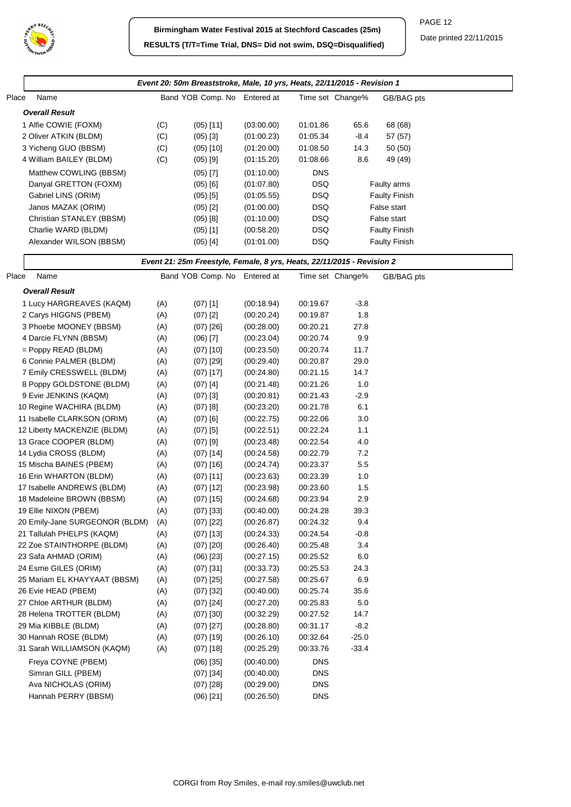

|       |                                |     | Event 20: 50m Breaststroke, Male, 10 yrs, Heats, 22/11/2015 - Revision 1 |            |            |                  |                      |  |
|-------|--------------------------------|-----|--------------------------------------------------------------------------|------------|------------|------------------|----------------------|--|
| Place | Name                           |     | Band YOB Comp. No Entered at                                             |            |            | Time set Change% | GB/BAG pts           |  |
|       | <b>Overall Result</b>          |     |                                                                          |            |            |                  |                      |  |
|       | 1 Alfie COWIE (FOXM)           | (C) | $(05)$ [11]                                                              | (03:00.00) | 01:01.86   | 65.6             | 68 (68)              |  |
|       | 2 Oliver ATKIN (BLDM)          | (C) | $(05)$ [3]                                                               | (01:00.23) | 01:05.34   | $-8.4$           | 57 (57)              |  |
|       | 3 Yicheng GUO (BBSM)           | (C) | $(05)$ [10]                                                              | (01:20.00) | 01:08.50   | 14.3             | 50 (50)              |  |
|       | 4 William BAILEY (BLDM)        | (C) | $(05)$ [9]                                                               | (01:15.20) | 01:08.66   | 8.6              | 49 (49)              |  |
|       | Matthew COWLING (BBSM)         |     | $(05)$ [7]                                                               | (01:10.00) | <b>DNS</b> |                  |                      |  |
|       | Danyal GRETTON (FOXM)          |     | $(05)$ [6]                                                               | (01:07.80) | <b>DSQ</b> |                  | Faulty arms          |  |
|       | Gabriel LINS (ORIM)            |     |                                                                          | (01:05.55) | <b>DSQ</b> |                  | <b>Faulty Finish</b> |  |
|       | Janos MAZAK (ORIM)             |     | $(05)$ [5]<br>$(05)$ [2]                                                 | (01:00.00) | <b>DSQ</b> |                  | False start          |  |
|       | Christian STANLEY (BBSM)       |     | $(05)$ [8]                                                               | (01:10.00) | <b>DSQ</b> |                  | False start          |  |
|       | Charlie WARD (BLDM)            |     | $(05)$ [1]                                                               | (00:58.20) | <b>DSQ</b> |                  | <b>Faulty Finish</b> |  |
|       | Alexander WILSON (BBSM)        |     | (05) [4]                                                                 | (01:01.00) | DSQ        |                  | <b>Faulty Finish</b> |  |
|       |                                |     |                                                                          |            |            |                  |                      |  |
|       |                                |     | Event 21: 25m Freestyle, Female, 8 yrs, Heats, 22/11/2015 - Revision 2   |            |            |                  |                      |  |
| Place | Name                           |     | Band YOB Comp. No Entered at                                             |            |            | Time set Change% | GB/BAG pts           |  |
|       | <b>Overall Result</b>          |     |                                                                          |            |            |                  |                      |  |
|       | 1 Lucy HARGREAVES (KAQM)       | (A) | $(07)$ [1]                                                               | (00:18.94) | 00:19.67   | $-3.8$           |                      |  |
|       | 2 Carys HIGGNS (PBEM)          | (A) | $(07)$ [2]                                                               | (00:20.24) | 00:19.87   | 1.8              |                      |  |
|       | 3 Phoebe MOONEY (BBSM)         | (A) | $(07)$ [26]                                                              | (00:28.00) | 00:20.21   | 27.8             |                      |  |
|       | 4 Darcie FLYNN (BBSM)          | (A) | $(06)$ [7]                                                               | (00:23.04) | 00:20.74   | 9.9              |                      |  |
|       | $=$ Poppy READ (BLDM)          | (A) | $(07)$ [10]                                                              | (00:23.50) | 00:20.74   | 11.7             |                      |  |
|       | 6 Connie PALMER (BLDM)         | (A) | $(07)$ [29]                                                              | (00:29.40) | 00:20.87   | 29.0             |                      |  |
|       | 7 Emily CRESSWELL (BLDM)       | (A) | $(07)$ [17]                                                              | (00:24.80) | 00:21.15   | 14.7             |                      |  |
|       | 8 Poppy GOLDSTONE (BLDM)       | (A) | $(07)$ [4]                                                               | (00:21.48) | 00:21.26   | 1.0              |                      |  |
|       | 9 Evie JENKINS (KAQM)          | (A) | $(07)$ [3]                                                               | (00:20.81) | 00:21.43   | $-2.9$           |                      |  |
|       | 10 Regine WACHIRA (BLDM)       | (A) | $(07)$ [8]                                                               | (00:23.20) | 00:21.78   | 6.1              |                      |  |
|       | 11 Isabelle CLARKSON (ORIM)    | (A) | $(07)$ [6]                                                               | (00:22.75) | 00:22.06   | 3.0              |                      |  |
|       | 12 Liberty MACKENZIE (BLDM)    | (A) | $(07)$ [5]                                                               | (00:22.51) | 00:22.24   | 1.1              |                      |  |
|       | 13 Grace COOPER (BLDM)         | (A) | $(07)$ [9]                                                               | (00:23.48) | 00:22.54   | 4.0              |                      |  |
|       | 14 Lydia CROSS (BLDM)          | (A) | $(07)$ [14]                                                              | (00:24.58) | 00:22.79   | 7.2              |                      |  |
|       | 15 Mischa BAINES (PBEM)        | (A) | $(07)$ [16]                                                              | (00:24.74) | 00:23.37   | 5.5              |                      |  |
|       | 16 Erin WHARTON (BLDM)         | (A) | $(07)$ [11]                                                              | (00:23.63) | 00:23.39   | 1.0              |                      |  |
|       | 17 Isabelle ANDREWS (BLDM)     | (A) | $(07)$ [12]                                                              | (00:23.98) | 00:23.60   | 1.5              |                      |  |
|       | 18 Madeleine BROWN (BBSM)      | (A) | $(07)$ [15]                                                              | (00:24.68) | 00:23.94   | 2.9              |                      |  |
|       | 19 Ellie NIXON (PBEM)          | (A) | $(07)$ [33]                                                              | (00:40.00) | 00:24.28   | 39.3             |                      |  |
|       | 20 Emily-Jane SURGEONOR (BLDM) | (A) | $(07)$ [22]                                                              | (00:26.87) | 00:24.32   | 9.4              |                      |  |
|       | 21 Tallulah PHELPS (KAQM)      | (A) | $(07)$ [13]                                                              | (00:24.33) | 00:24.54   | $-0.8$           |                      |  |
|       | 22 Zoe STAINTHORPE (BLDM)      | (A) | $(07)$ [20]                                                              | (00:26.40) | 00:25.48   | 3.4              |                      |  |
|       | 23 Safa AHMAD (ORIM)           | (A) | $(06)$ [23]                                                              | (00:27.15) | 00:25.52   | 6.0              |                      |  |
|       | 24 Esme GILES (ORIM)           | (A) | $(07)$ [31]                                                              | (00:33.73) | 00:25.53   | 24.3             |                      |  |
|       | 25 Mariam EL KHAYYAAT (BBSM)   | (A) | $(07)$ [25]                                                              | (00:27.58) | 00:25.67   | 6.9              |                      |  |
|       | 26 Evie HEAD (PBEM)            | (A) | $(07)$ [32]                                                              | (00.40.00) | 00:25.74   | 35.6             |                      |  |
|       | 27 Chloe ARTHUR (BLDM)         | (A) | $(07)$ [24]                                                              | (00:27.20) | 00:25.83   | 5.0              |                      |  |
|       | 28 Helena TROTTER (BLDM)       | (A) | $(07)$ [30]                                                              | (00:32.29) | 00:27.52   | 14.7             |                      |  |
|       | 29 Mia KIBBLE (BLDM)           | (A) | $(07)$ [27]                                                              | (00:28.80) | 00:31.17   | $-8.2$           |                      |  |
|       | 30 Hannah ROSE (BLDM)          | (A) | $(07)$ [19]                                                              | (00:26.10) | 00:32.64   | $-25.0$          |                      |  |
|       | 31 Sarah WILLIAMSON (KAQM)     | (A) | $(07)$ [18]                                                              | (00:25.29) | 00:33.76   | $-33.4$          |                      |  |
|       | Freya COYNE (PBEM)             |     | $(06)$ [35]                                                              | (00:40.00) | <b>DNS</b> |                  |                      |  |
|       | Simran GILL (PBEM)             |     | $(07)$ [34]                                                              | (00:40.00) | <b>DNS</b> |                  |                      |  |
|       | Ava NICHOLAS (ORIM)            |     | $(07)$ [28]                                                              | (00:29.00) | <b>DNS</b> |                  |                      |  |
|       | Hannah PERRY (BBSM)            |     | $(06)$ [21]                                                              | (00:26.50) | <b>DNS</b> |                  |                      |  |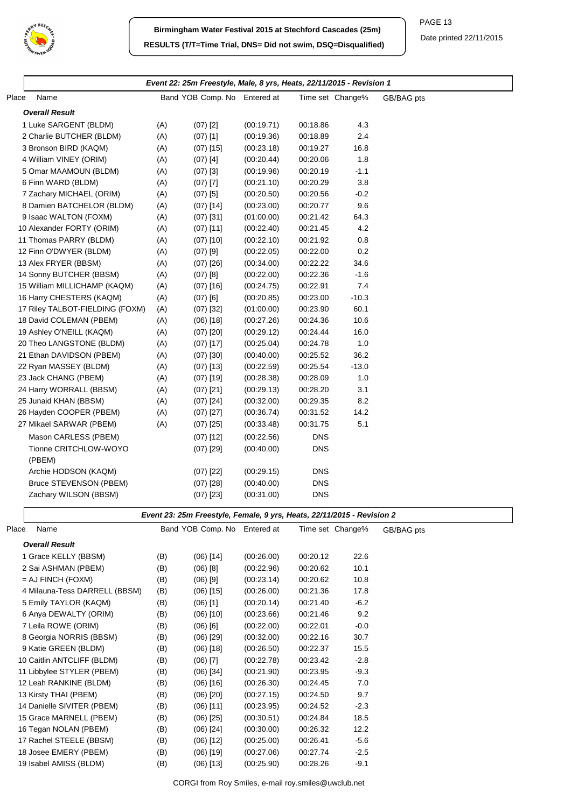

|       |                                 |     | Event 22: 25m Freestyle, Male, 8 yrs, Heats, 22/11/2015 - Revision 1 |            |            |                  |            |
|-------|---------------------------------|-----|----------------------------------------------------------------------|------------|------------|------------------|------------|
| Place | Name                            |     | Band YOB Comp. No Entered at                                         |            |            | Time set Change% | GB/BAG pts |
|       | <b>Overall Result</b>           |     |                                                                      |            |            |                  |            |
|       | 1 Luke SARGENT (BLDM)           | (A) | $(07)$ [2]                                                           | (00:19.71) | 00:18.86   | 4.3              |            |
|       | 2 Charlie BUTCHER (BLDM)        | (A) | $(07)$ [1]                                                           | (00:19.36) | 00:18.89   | 2.4              |            |
|       | 3 Bronson BIRD (KAQM)           | (A) | $(07)$ [15]                                                          | (00:23.18) | 00:19.27   | 16.8             |            |
|       | 4 William VINEY (ORIM)          | (A) | $(07)$ [4]                                                           | (00:20.44) | 00:20.06   | 1.8              |            |
|       | 5 Omar MAAMOUN (BLDM)           | (A) | $(07)$ [3]                                                           | (00:19.96) | 00:20.19   | $-1.1$           |            |
|       | 6 Finn WARD (BLDM)              | (A) | $(07)$ [7]                                                           | (00:21.10) | 00:20.29   | 3.8              |            |
|       | 7 Zachary MICHAEL (ORIM)        | (A) | $(07)$ [5]                                                           | (00:20.50) | 00:20.56   | $-0.2$           |            |
|       | 8 Damien BATCHELOR (BLDM)       | (A) | $(07)$ [14]                                                          | (00:23.00) | 00:20.77   | 9.6              |            |
|       | 9 Isaac WALTON (FOXM)           | (A) | $(07)$ [31]                                                          | (01:00.00) | 00:21.42   | 64.3             |            |
|       | 10 Alexander FORTY (ORIM)       | (A) | $(07)$ [11]                                                          | (00:22.40) | 00:21.45   | 4.2              |            |
|       | 11 Thomas PARRY (BLDM)          | (A) | $(07)$ [10]                                                          | (00:22.10) | 00:21.92   | 0.8              |            |
|       | 12 Finn O'DWYER (BLDM)          | (A) | $(07)$ [9]                                                           | (00:22.05) | 00:22.00   | 0.2              |            |
|       | 13 Alex FRYER (BBSM)            | (A) | $(07)$ [26]                                                          | (00:34.00) | 00:22.22   | 34.6             |            |
|       | 14 Sonny BUTCHER (BBSM)         | (A) | $(07)$ [8]                                                           | (00:22.00) | 00:22.36   | $-1.6$           |            |
|       | 15 William MILLICHAMP (KAQM)    | (A) | $(07)$ [16]                                                          | (00:24.75) | 00:22.91   | 7.4              |            |
|       | 16 Harry CHESTERS (KAQM)        | (A) | $(07)$ [6]                                                           | (00:20.85) | 00:23.00   | $-10.3$          |            |
|       | 17 Riley TALBOT-FIELDING (FOXM) | (A) | $(07)$ [32]                                                          | (01:00.00) | 00:23.90   | 60.1             |            |
|       | 18 David COLEMAN (PBEM)         | (A) | $(06)$ [18]                                                          | (00:27.26) | 00:24.36   | 10.6             |            |
|       | 19 Ashley O'NEILL (KAQM)        | (A) | $(07)$ [20]                                                          | (00:29.12) | 00:24.44   | 16.0             |            |
|       | 20 Theo LANGSTONE (BLDM)        | (A) | $(07)$ [17]                                                          | (00:25.04) | 00:24.78   | 1.0              |            |
|       | 21 Ethan DAVIDSON (PBEM)        | (A) | $(07)$ [30]                                                          | (00.40.00) | 00:25.52   | 36.2             |            |
|       | 22 Ryan MASSEY (BLDM)           | (A) | $(07)$ [13]                                                          | (00:22.59) | 00:25.54   | $-13.0$          |            |
|       | 23 Jack CHANG (PBEM)            | (A) | $(07)$ [19]                                                          | (00:28.38) | 00:28.09   | 1.0              |            |
|       | 24 Harry WORRALL (BBSM)         | (A) | $(07)$ [21]                                                          | (00:29.13) | 00:28.20   | 3.1              |            |
|       | 25 Junaid KHAN (BBSM)           | (A) | $(07)$ [24]                                                          | (00:32.00) | 00:29.35   | 8.2              |            |
|       | 26 Hayden COOPER (PBEM)         | (A) | $(07)$ [27]                                                          | (00:36.74) | 00:31.52   | 14.2             |            |
|       | 27 Mikael SARWAR (PBEM)         | (A) | $(07)$ [25]                                                          | (00:33.48) | 00:31.75   | 5.1              |            |
|       | Mason CARLESS (PBEM)            |     | $(07)$ [12]                                                          | (00:22.56) | <b>DNS</b> |                  |            |
|       | Tionne CRITCHLOW-WOYO           |     | $(07)$ [29]                                                          | (00:40.00) | <b>DNS</b> |                  |            |
|       | (PBEM)                          |     |                                                                      |            |            |                  |            |
|       | Archie HODSON (KAQM)            |     | $(07)$ [22]                                                          | (00:29.15) | <b>DNS</b> |                  |            |
|       | Bruce STEVENSON (PBEM)          |     | $(07)$ [28]                                                          | (00:40.00) | <b>DNS</b> |                  |            |
|       | Zachary WILSON (BBSM)           |     | $(07)$ [23]                                                          | (00:31.00) | <b>DNS</b> |                  |            |

## **Event 23: 25m Freestyle, Female, 9 yrs, Heats, 22/11/2015 - Revision 2**

| Place | Name                          |     | Band YOB Comp. No Entered at |            |          | Time set Change% | GB/BAG pts |
|-------|-------------------------------|-----|------------------------------|------------|----------|------------------|------------|
|       | <b>Overall Result</b>         |     |                              |            |          |                  |            |
|       | 1 Grace KELLY (BBSM)          | (B) | $(06)$ [14]                  | (00:26.00) | 00:20.12 | 22.6             |            |
|       | 2 Sai ASHMAN (PBEM)           | (B) | $(06)$ [8]                   | (00:22.96) | 00:20.62 | 10.1             |            |
|       | $=$ AJ FINCH (FOXM)           | (B) | $(06)$ [9]                   | (00:23.14) | 00:20.62 | 10.8             |            |
|       | 4 Milauna-Tess DARRELL (BBSM) | (B) | $(06)$ [15]                  | (00:26.00) | 00:21.36 | 17.8             |            |
|       | 5 Emily TAYLOR (KAQM)         | (B) | $(06)$ [1]                   | (00:20.14) | 00:21.40 | $-6.2$           |            |
|       | 6 Anya DEWALTY (ORIM)         | (B) | $(06)$ [10]                  | (00:23.66) | 00:21.46 | 9.2              |            |
|       | 7 Leila ROWE (ORIM)           | (B) | $(06)$ $[6]$                 | (00:22.00) | 00:22.01 | $-0.0$           |            |
|       | 8 Georgia NORRIS (BBSM)       | (B) | $(06)$ [29]                  | (00:32.00) | 00:22.16 | 30.7             |            |
|       | 9 Katie GREEN (BLDM)          | (B) | $(06)$ [18]                  | (00:26.50) | 00:22.37 | 15.5             |            |
|       | 10 Caitlin ANTCLIFF (BLDM)    | (B) | $(06)$ [7]                   | (00:22.78) | 00:23.42 | $-2.8$           |            |
|       | 11 Libbylee STYLER (PBEM)     | (B) | $(06)$ [34]                  | (00:21.90) | 00:23.95 | $-9.3$           |            |
|       | 12 Leah RANKINE (BLDM)        | (B) | $(06)$ [16]                  | (00:26.30) | 00:24.45 | 7.0              |            |
|       | 13 Kirsty THAI (PBEM)         | (B) | $(06)$ [20]                  | (00:27.15) | 00:24.50 | 9.7              |            |
|       | 14 Danielle SIVITER (PBEM)    | (B) | $(06)$ [11]                  | (00:23.95) | 00:24.52 | $-2.3$           |            |
|       | 15 Grace MARNELL (PBEM)       | (B) | $(06)$ [25]                  | (00:30.51) | 00:24.84 | 18.5             |            |
|       | 16 Tegan NOLAN (PBEM)         | (B) | $(06)$ [24]                  | (00:30.00) | 00:26.32 | 12.2             |            |
|       | 17 Rachel STEELE (BBSM)       | (B) | $(06)$ [12]                  | (00:25.00) | 00:26.41 | $-5.6$           |            |
|       | 18 Josee EMERY (PBEM)         | (B) | $(06)$ [19]                  | (00:27.06) | 00:27.74 | $-2.5$           |            |
|       | 19 Isabel AMISS (BLDM)        | (B) | $(06)$ [13]                  | (00:25.90) | 00:28.26 | $-9.1$           |            |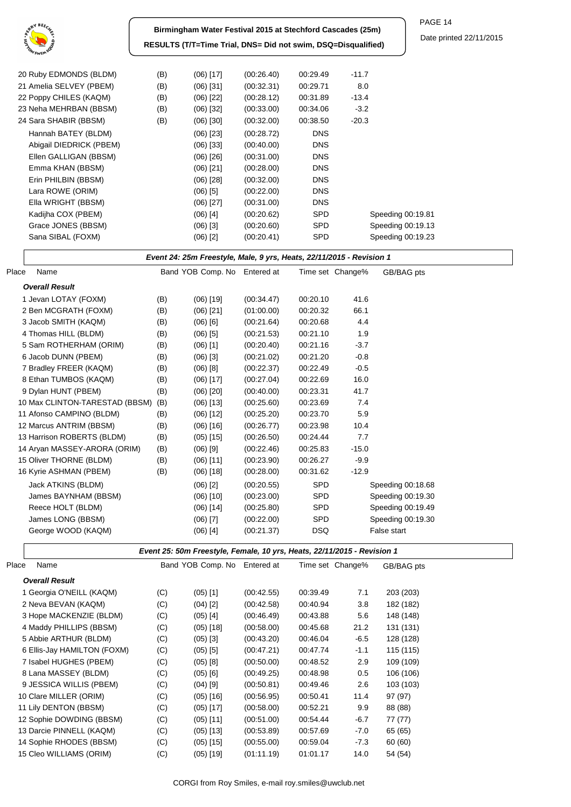

**Birmingham Water Festival 2015 at Stechford Cascades (25m) RESULTS (T/T=Time Trial, DNS= Did not swim, DSQ=Disqualified)** PAGE 14

Date printed 22/11/2015

| 20 Ruby EDMONDS (BLDM)  | (B) | $(06)$ [17] | (00.26.40) | 00:29.49   | $-11.7$           |
|-------------------------|-----|-------------|------------|------------|-------------------|
| 21 Amelia SELVEY (PBEM) | (B) | $(06)$ [31] | (00:32.31) | 00:29.71   | 8.0               |
| 22 Poppy CHILES (KAQM)  | (B) | $(06)$ [22] | (00:28.12) | 00:31.89   | $-13.4$           |
| 23 Neha MEHRBAN (BBSM)  | (B) | $(06)$ [32] | (00:33.00) | 00:34.06   | $-3.2$            |
| 24 Sara SHABIR (BBSM)   | (B) | $(06)$ [30] | (00:32.00) | 00:38.50   | $-20.3$           |
| Hannah BATEY (BLDM)     |     | $(06)$ [23] | (00:28.72) | <b>DNS</b> |                   |
| Abigail DIEDRICK (PBEM) |     | $(06)$ [33] | (00.40.00) | <b>DNS</b> |                   |
| Ellen GALLIGAN (BBSM)   |     | $(06)$ [26] | (00:31.00) | <b>DNS</b> |                   |
| Emma KHAN (BBSM)        |     | $(06)$ [21] | (00:28.00) | <b>DNS</b> |                   |
| Erin PHILBIN (BBSM)     |     | $(06)$ [28] | (00:32.00) | <b>DNS</b> |                   |
| Lara ROWE (ORIM)        |     | $(06)$ [5]  | (00:22.00) | <b>DNS</b> |                   |
| Ella WRIGHT (BBSM)      |     | $(06)$ [27] | (00:31.00) | <b>DNS</b> |                   |
| Kadijha COX (PBEM)      |     | $(06)$ [4]  | (00:20.62) | <b>SPD</b> | Speeding 00:19.81 |
| Grace JONES (BBSM)      |     | $(06)$ [3]  | (00:20.60) | <b>SPD</b> | Speeding 00:19.13 |
| Sana SIBAL (FOXM)       |     | $(06)$ [2]  | (00:20.41) | <b>SPD</b> | Speeding 00:19.23 |
|                         |     |             |            |            |                   |

## **Event 24: 25m Freestyle, Male, 9 yrs, Heats, 22/11/2015 - Revision 1**

| Place | Name                           |     | Band YOB Comp. No Entered at |            |            | Time set Change% | GB/BAG pts        |
|-------|--------------------------------|-----|------------------------------|------------|------------|------------------|-------------------|
|       | <b>Overall Result</b>          |     |                              |            |            |                  |                   |
|       | 1 Jevan LOTAY (FOXM)           | (B) | $(06)$ [19]                  | (00:34.47) | 00:20.10   | 41.6             |                   |
|       | 2 Ben MCGRATH (FOXM)           | (B) | $(06)$ [21]                  | (01:00.00) | 00:20.32   | 66.1             |                   |
|       | 3 Jacob SMITH (KAQM)           | (B) | $(06)$ $[6]$                 | (00:21.64) | 00:20.68   | 4.4              |                   |
|       | 4 Thomas HILL (BLDM)           | (B) | $(06)$ [5]                   | (00:21.53) | 00:21.10   | 1.9              |                   |
|       | 5 Sam ROTHERHAM (ORIM)         | (B) | $(06)$ [1]                   | (00:20.40) | 00:21.16   | $-3.7$           |                   |
|       | 6 Jacob DUNN (PBEM)            | (B) | $(06)$ [3]                   | (00:21.02) | 00:21.20   | $-0.8$           |                   |
|       | 7 Bradley FREER (KAQM)         | (B) | $(06)$ [8]                   | (00:22.37) | 00:22.49   | $-0.5$           |                   |
|       | 8 Ethan TUMBOS (KAQM)          | (B) | $(06)$ [17]                  | (00:27.04) | 00:22.69   | 16.0             |                   |
|       | 9 Dylan HUNT (PBEM)            | (B) | $(06)$ [20]                  | (00:40.00) | 00:23.31   | 41.7             |                   |
|       | 10 Max CLINTON-TARESTAD (BBSM) | (B) | $(06)$ [13]                  | (00:25.60) | 00:23.69   | 7.4              |                   |
|       | 11 Afonso CAMPINO (BLDM)       | (B) | $(06)$ [12]                  | (00:25.20) | 00:23.70   | 5.9              |                   |
|       | 12 Marcus ANTRIM (BBSM)        | (B) | $(06)$ [16]                  | (00:26.77) | 00:23.98   | 10.4             |                   |
|       | 13 Harrison ROBERTS (BLDM)     | (B) | $(05)$ [15]                  | (00:26.50) | 00:24.44   | 7.7              |                   |
|       | 14 Aryan MASSEY-ARORA (ORIM)   | (B) | $(06)$ [9]                   | (00:22.46) | 00:25.83   | $-15.0$          |                   |
|       | 15 Oliver THORNE (BLDM)        | (B) | $(06)$ [11]                  | (00:23.90) | 00:26.27   | $-9.9$           |                   |
|       | 16 Kyrie ASHMAN (PBEM)         | (B) | $(06)$ [18]                  | (00:28.00) | 00:31.62   | $-12.9$          |                   |
|       | Jack ATKINS (BLDM)             |     | $(06)$ [2]                   | (00:20.55) | <b>SPD</b> |                  | Speeding 00:18.68 |
|       | James BAYNHAM (BBSM)           |     | $(06)$ [10]                  | (00:23.00) | <b>SPD</b> |                  | Speeding 00:19.30 |
|       | Reece HOLT (BLDM)              |     | $(06)$ [14]                  | (00:25.80) | SPD        |                  | Speeding 00:19.49 |
|       | James LONG (BBSM)              |     | $(06)$ [7]                   | (00:22.00) | SPD        |                  | Speeding 00:19.30 |
|       | George WOOD (KAQM)             |     | $(06)$ [4]                   | (00:21.37) | DSQ.       |                  | False start       |
|       |                                |     |                              |            |            |                  |                   |

## **Event 25: 50m Freestyle, Female, 10 yrs, Heats, 22/11/2015 - Revision 1**

| Place | Name                        |     | Band YOB Comp. No | Entered at | Time set Change% |        | GB/BAG pts |
|-------|-----------------------------|-----|-------------------|------------|------------------|--------|------------|
|       | <b>Overall Result</b>       |     |                   |            |                  |        |            |
|       | 1 Georgia O'NEILL (KAQM)    | (C) | $(05)$ [1]        | (00:42.55) | 00:39.49         | 7.1    | 203 (203)  |
|       | 2 Neva BEVAN (KAQM)         | (C) | $(04)$ [2]        | (00:42.58) | 00:40.94         | 3.8    | 182 (182)  |
|       | 3 Hope MACKENZIE (BLDM)     | (C) | $(05)$ [4]        | (00:46.49) | 00:43.88         | 5.6    | 148 (148)  |
|       | 4 Maddy PHILLIPS (BBSM)     | (C) | $(05)$ [18]       | (00:58.00) | 00:45.68         | 21.2   | 131 (131)  |
|       | 5 Abbie ARTHUR (BLDM)       | (C) | $(05)$ [3]        | (00:43.20) | 00:46.04         | $-6.5$ | 128 (128)  |
|       | 6 Ellis-Jay HAMILTON (FOXM) | (C) | $(05)$ [5]        | (00:47.21) | 00:47.74         | $-1.1$ | 115 (115)  |
|       | 7 Isabel HUGHES (PBEM)      | (C) | $(05)$ [8]        | (00:50.00) | 00:48.52         | 2.9    | 109 (109)  |
|       | 8 Lana MASSEY (BLDM)        | (C) | $(05)$ [6]        | (00:49.25) | 00:48.98         | 0.5    | 106 (106)  |
|       | 9 JESSICA WILLIS (PBEM)     | (C) | $(04)$ [9]        | (00:50.81) | 00:49.46         | 2.6    | 103 (103)  |
|       | 10 Clare MILLER (ORIM)      | (C) | $(05)$ [16]       | (00:56.95) | 00:50.41         | 11.4   | 97 (97)    |
|       | 11 Lily DENTON (BBSM)       | (C) | $(05)$ [17]       | (00:58.00) | 00:52.21         | 9.9    | 88 (88)    |
|       | 12 Sophie DOWDING (BBSM)    | (C) | $(05)$ [11]       | (00:51.00) | 00:54.44         | $-6.7$ | 77 (77)    |
|       | 13 Darcie PINNELL (KAQM)    | (C) | $(05)$ [13]       | (00:53.89) | 00:57.69         | $-7.0$ | 65 (65)    |
|       | 14 Sophie RHODES (BBSM)     | (C) | $(05)$ [15]       | (00:55.00) | 00:59.04         | $-7.3$ | 60 (60)    |
|       | 15 Cleo WILLIAMS (ORIM)     | (C) | $(05)$ [19]       | (01:11.19) | 01:01.17         | 14.0   | 54 (54)    |